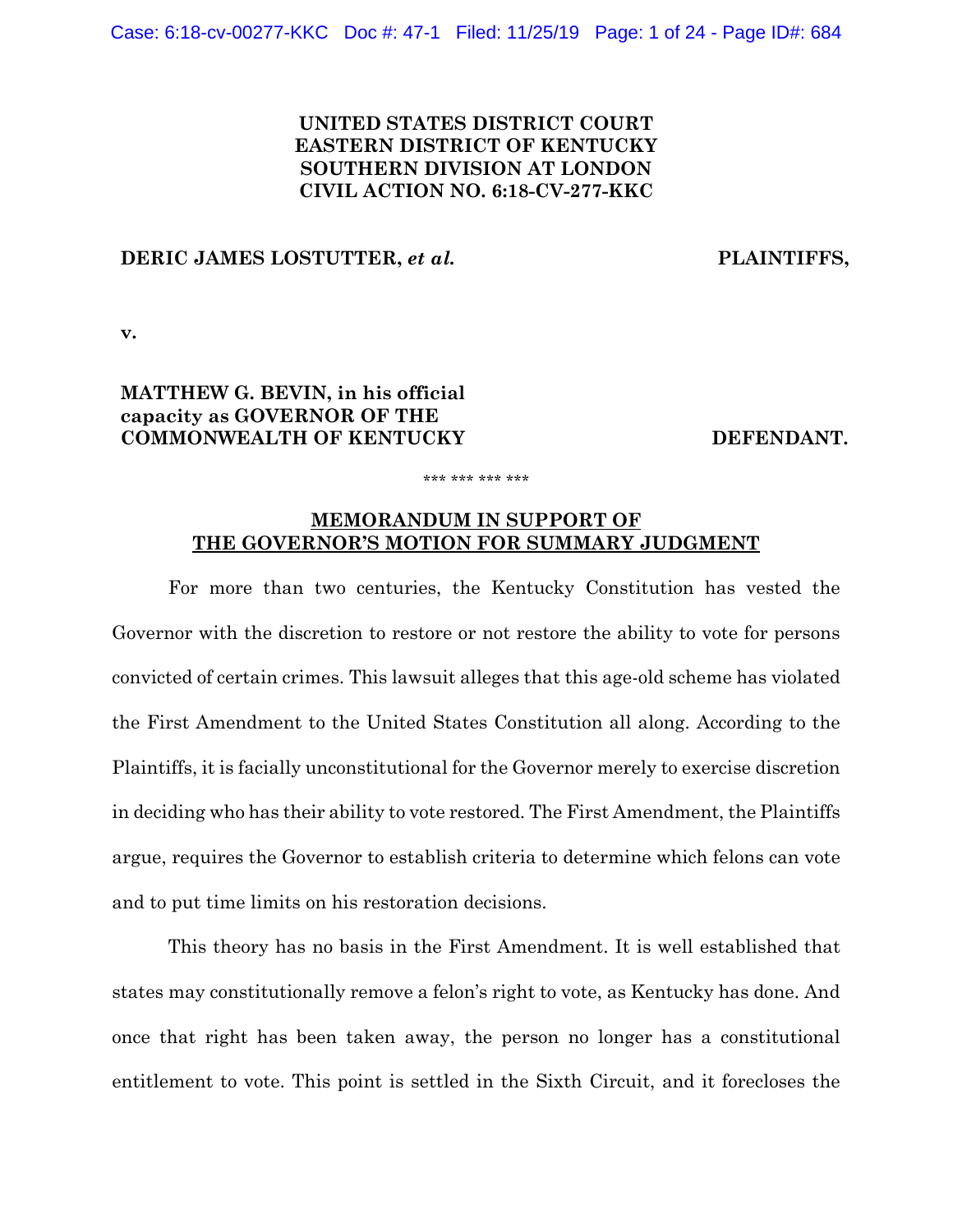# **UNITED STATES DISTRICT COURT EASTERN DISTRICT OF KENTUCKY SOUTHERN DIVISION AT LONDON CIVIL ACTION NO. 6:18-CV-277-KKC**

## **DERIC JAMES LOSTUTTER,** *et al.* **PLAINTIFFS,**

**v.**

# **MATTHEW G. BEVIN, in his official capacity as GOVERNOR OF THE COMMONWEALTH OF KENTUCKY DEFENDANT.**

#### \*\*\* \*\*\* \*\*\* \*\*\*

## **MEMORANDUM IN SUPPORT OF THE GOVERNOR'S MOTION FOR SUMMARY JUDGMENT**

For more than two centuries, the Kentucky Constitution has vested the Governor with the discretion to restore or not restore the ability to vote for persons convicted of certain crimes. This lawsuit alleges that this age-old scheme has violated the First Amendment to the United States Constitution all along. According to the Plaintiffs, it is facially unconstitutional for the Governor merely to exercise discretion in deciding who has their ability to vote restored. The First Amendment, the Plaintiffs argue, requires the Governor to establish criteria to determine which felons can vote and to put time limits on his restoration decisions.

This theory has no basis in the First Amendment. It is well established that states may constitutionally remove a felon's right to vote, as Kentucky has done. And once that right has been taken away, the person no longer has a constitutional entitlement to vote. This point is settled in the Sixth Circuit, and it forecloses the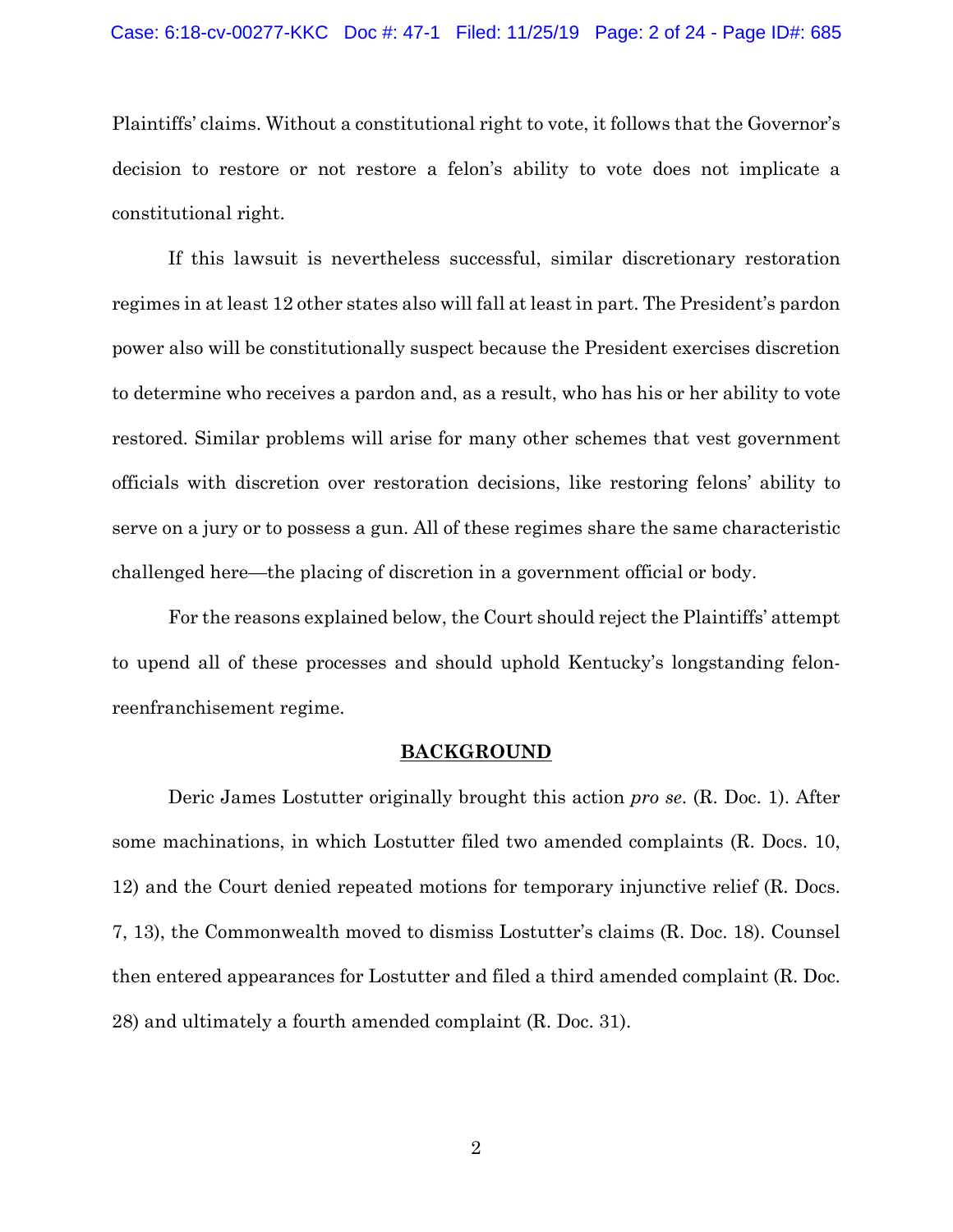Plaintiffs' claims. Without a constitutional right to vote, it follows that the Governor's decision to restore or not restore a felon's ability to vote does not implicate a constitutional right.

If this lawsuit is nevertheless successful, similar discretionary restoration regimes in at least 12 other states also will fall at least in part. The President's pardon power also will be constitutionally suspect because the President exercises discretion to determine who receives a pardon and, as a result, who has his or her ability to vote restored. Similar problems will arise for many other schemes that vest government officials with discretion over restoration decisions, like restoring felons' ability to serve on a jury or to possess a gun. All of these regimes share the same characteristic challenged here—the placing of discretion in a government official or body.

For the reasons explained below, the Court should reject the Plaintiffs' attempt to upend all of these processes and should uphold Kentucky's longstanding felonreenfranchisement regime.

## **BACKGROUND**

Deric James Lostutter originally brought this action *pro se*. (R. Doc. 1). After some machinations, in which Lostutter filed two amended complaints (R. Docs. 10, 12) and the Court denied repeated motions for temporary injunctive relief (R. Docs. 7, 13), the Commonwealth moved to dismiss Lostutter's claims (R. Doc. 18). Counsel then entered appearances for Lostutter and filed a third amended complaint (R. Doc. 28) and ultimately a fourth amended complaint (R. Doc. 31).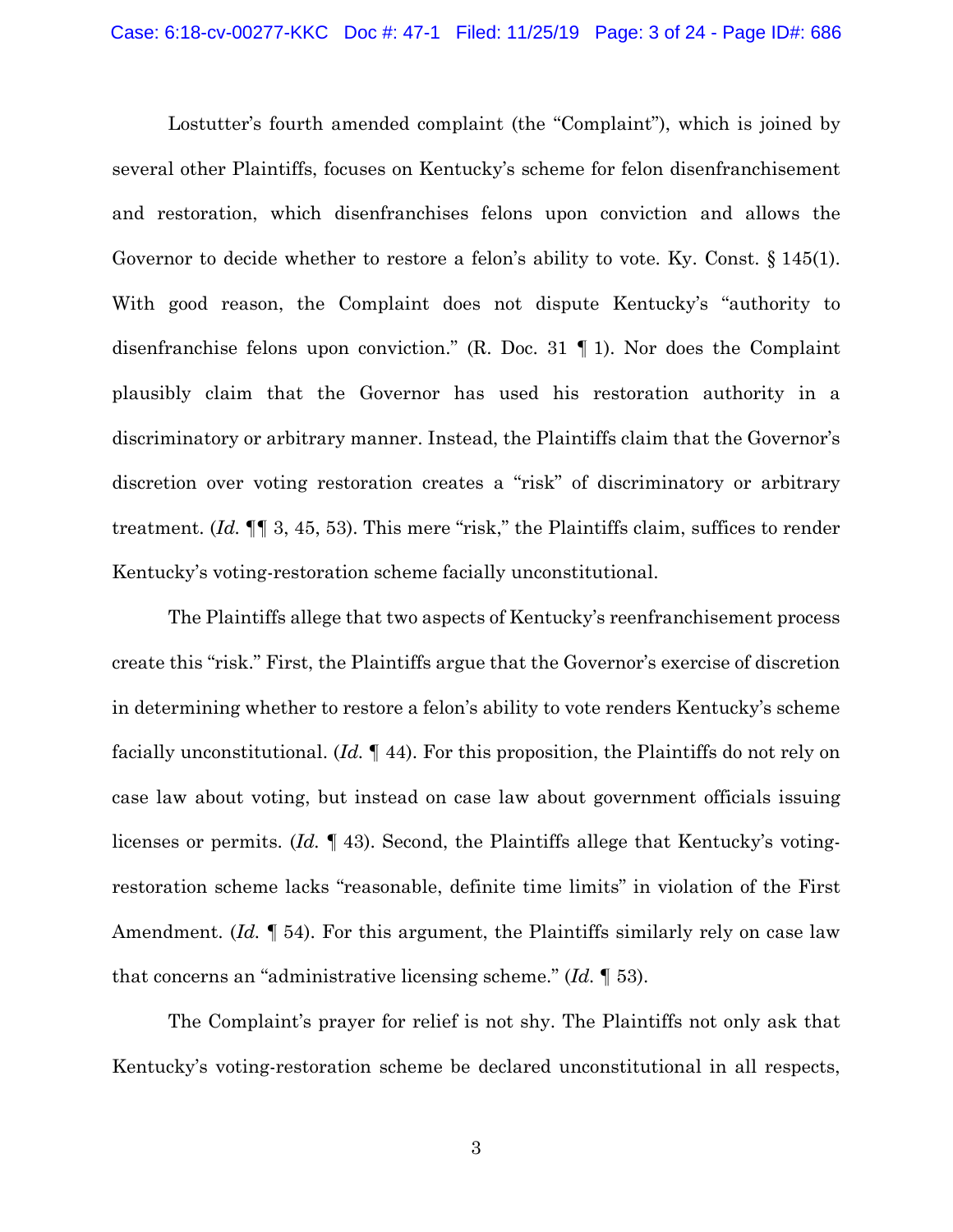Lostutter's fourth amended complaint (the "Complaint"), which is joined by several other Plaintiffs, focuses on Kentucky's scheme for felon disenfranchisement and restoration, which disenfranchises felons upon conviction and allows the Governor to decide whether to restore a felon's ability to vote. Ky. Const. § 145(1). With good reason, the Complaint does not dispute Kentucky's "authority to disenfranchise felons upon conviction." (R. Doc. 31 ¶ 1). Nor does the Complaint plausibly claim that the Governor has used his restoration authority in a discriminatory or arbitrary manner. Instead, the Plaintiffs claim that the Governor's discretion over voting restoration creates a "risk" of discriminatory or arbitrary treatment. (*Id.* ¶¶ 3, 45, 53). This mere "risk," the Plaintiffs claim, suffices to render Kentucky's voting-restoration scheme facially unconstitutional.

The Plaintiffs allege that two aspects of Kentucky's reenfranchisement process create this "risk." First, the Plaintiffs argue that the Governor's exercise of discretion in determining whether to restore a felon's ability to vote renders Kentucky's scheme facially unconstitutional. (*Id.* ¶ 44). For this proposition, the Plaintiffs do not rely on case law about voting, but instead on case law about government officials issuing licenses or permits. (*Id.* ¶ 43). Second, the Plaintiffs allege that Kentucky's votingrestoration scheme lacks "reasonable, definite time limits" in violation of the First Amendment. (*Id.* ¶ 54). For this argument, the Plaintiffs similarly rely on case law that concerns an "administrative licensing scheme." (*Id.* ¶ 53).

The Complaint's prayer for relief is not shy. The Plaintiffs not only ask that Kentucky's voting-restoration scheme be declared unconstitutional in all respects,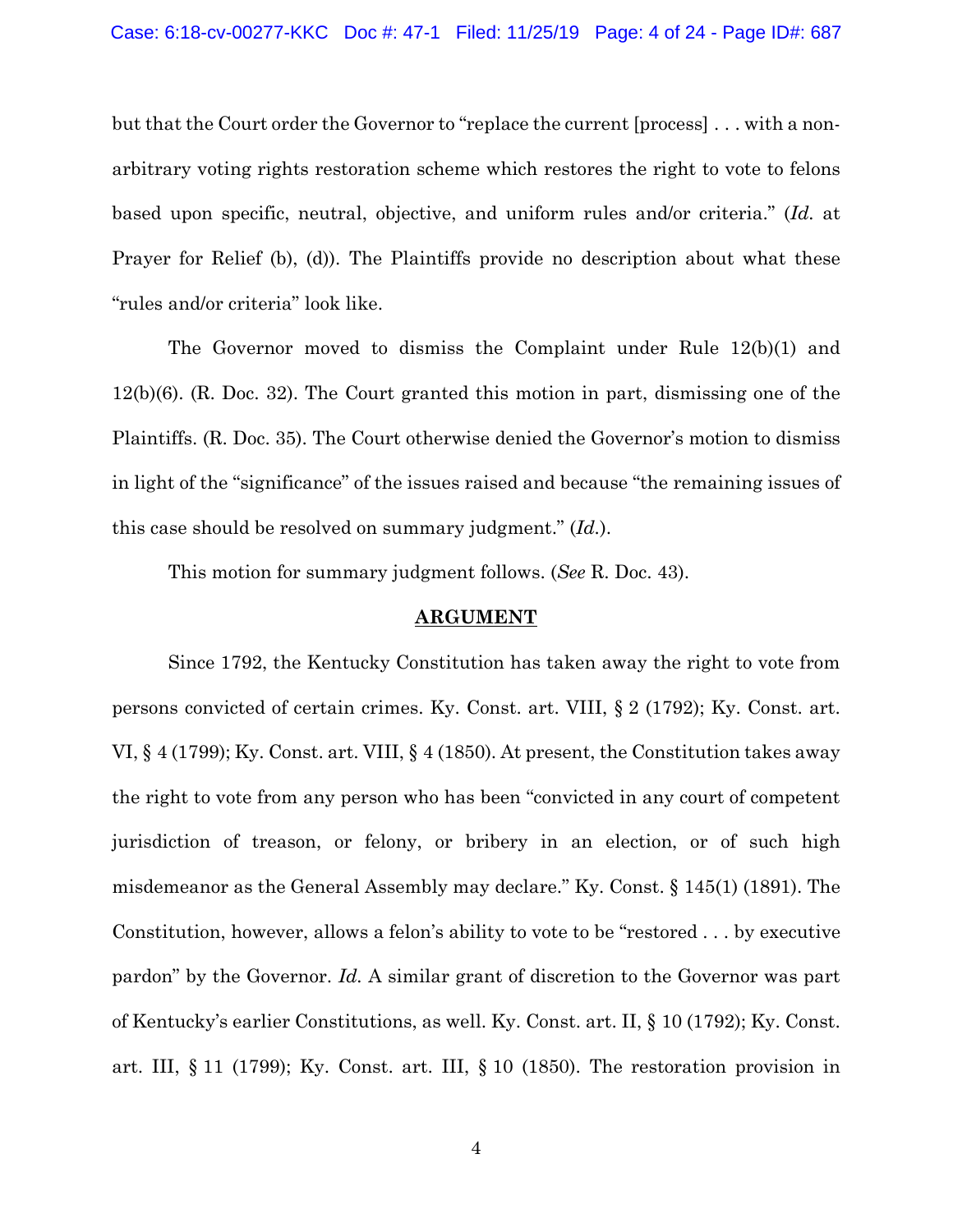but that the Court order the Governor to "replace the current [process] . . . with a nonarbitrary voting rights restoration scheme which restores the right to vote to felons based upon specific, neutral, objective, and uniform rules and/or criteria." (*Id.* at Prayer for Relief (b), (d)). The Plaintiffs provide no description about what these "rules and/or criteria" look like.

The Governor moved to dismiss the Complaint under Rule 12(b)(1) and 12(b)(6). (R. Doc. 32). The Court granted this motion in part, dismissing one of the Plaintiffs. (R. Doc. 35). The Court otherwise denied the Governor's motion to dismiss in light of the "significance" of the issues raised and because "the remaining issues of this case should be resolved on summary judgment." (*Id.*).

This motion for summary judgment follows. (*See* R. Doc. 43).

### **ARGUMENT**

Since 1792, the Kentucky Constitution has taken away the right to vote from persons convicted of certain crimes. Ky. Const. art. VIII, § 2 (1792); Ky. Const. art. VI, § 4 (1799); Ky. Const. art. VIII, § 4 (1850). At present, the Constitution takes away the right to vote from any person who has been "convicted in any court of competent jurisdiction of treason, or felony, or bribery in an election, or of such high misdemeanor as the General Assembly may declare." Ky. Const. § 145(1) (1891). The Constitution, however, allows a felon's ability to vote to be "restored . . . by executive pardon" by the Governor. *Id.* A similar grant of discretion to the Governor was part of Kentucky's earlier Constitutions, as well. Ky. Const. art. II, § 10 (1792); Ky. Const. art. III, § 11 (1799); Ky. Const. art. III, § 10 (1850). The restoration provision in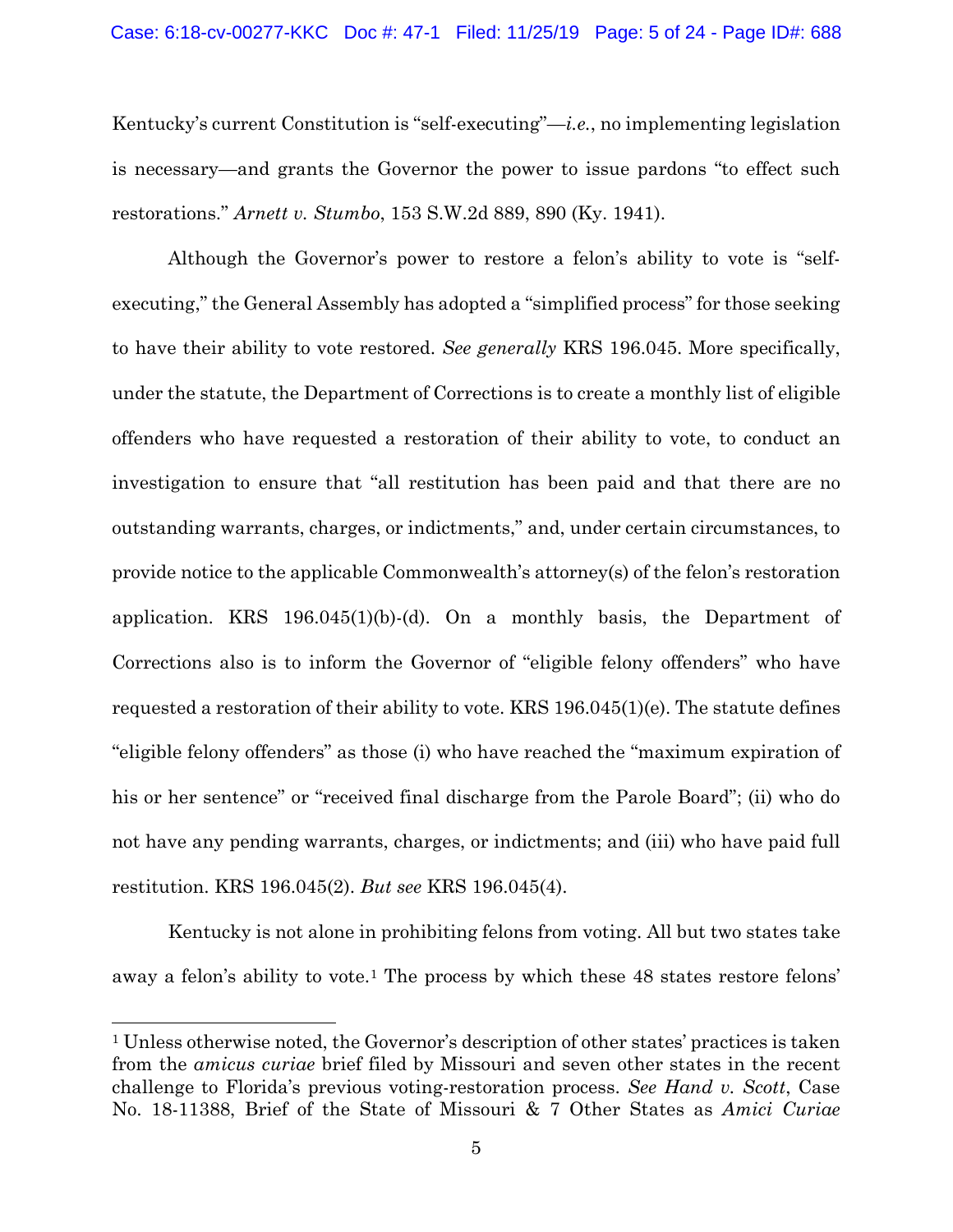Kentucky's current Constitution is "self-executing"—*i.e.*, no implementing legislation is necessary—and grants the Governor the power to issue pardons "to effect such restorations." *Arnett v. Stumbo*, 153 S.W.2d 889, 890 (Ky. 1941).

Although the Governor's power to restore a felon's ability to vote is "selfexecuting," the General Assembly has adopted a "simplified process" for those seeking to have their ability to vote restored. *See generally* KRS 196.045. More specifically, under the statute, the Department of Corrections is to create a monthly list of eligible offenders who have requested a restoration of their ability to vote, to conduct an investigation to ensure that "all restitution has been paid and that there are no outstanding warrants, charges, or indictments," and, under certain circumstances, to provide notice to the applicable Commonwealth's attorney(s) of the felon's restoration application. KRS 196.045(1)(b)-(d). On a monthly basis, the Department of Corrections also is to inform the Governor of "eligible felony offenders" who have requested a restoration of their ability to vote. KRS 196.045(1)(e). The statute defines "eligible felony offenders" as those (i) who have reached the "maximum expiration of his or her sentence" or "received final discharge from the Parole Board"; (ii) who do not have any pending warrants, charges, or indictments; and (iii) who have paid full restitution. KRS 196.045(2). *But see* KRS 196.045(4).

Kentucky is not alone in prohibiting felons from voting. All but two states take away a felon's ability to vote.[1](#page-4-0) The process by which these 48 states restore felons'

<span id="page-4-0"></span><sup>1</sup> Unless otherwise noted, the Governor's description of other states' practices is taken from the *amicus curiae* brief filed by Missouri and seven other states in the recent challenge to Florida's previous voting-restoration process. *See Hand v. Scott*, Case No. 18-11388, Brief of the State of Missouri & 7 Other States as *Amici Curiae*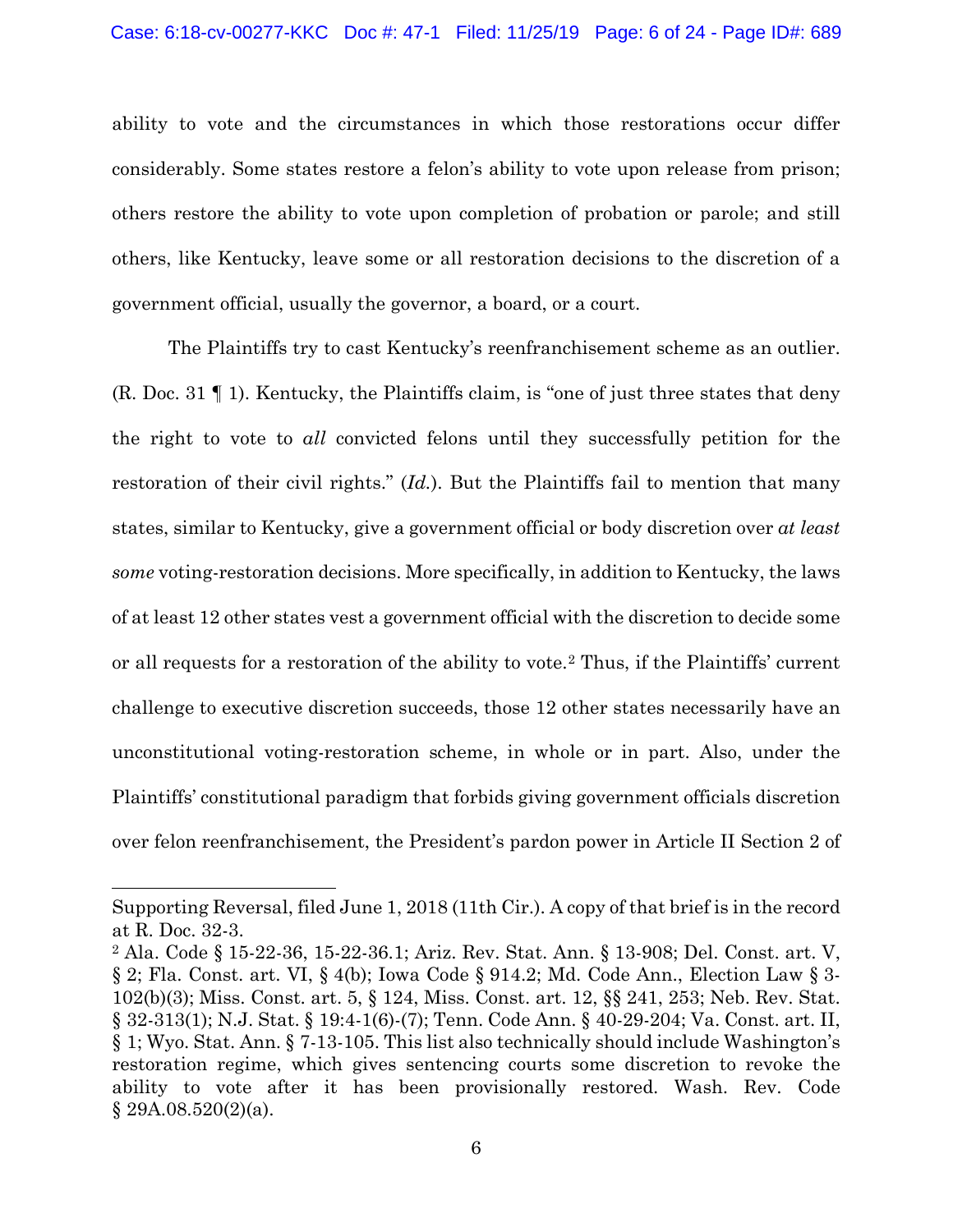ability to vote and the circumstances in which those restorations occur differ considerably. Some states restore a felon's ability to vote upon release from prison; others restore the ability to vote upon completion of probation or parole; and still others, like Kentucky, leave some or all restoration decisions to the discretion of a government official, usually the governor, a board, or a court.

The Plaintiffs try to cast Kentucky's reenfranchisement scheme as an outlier. (R. Doc. 31 ¶ 1). Kentucky, the Plaintiffs claim, is "one of just three states that deny the right to vote to *all* convicted felons until they successfully petition for the restoration of their civil rights." (*Id.*). But the Plaintiffs fail to mention that many states, similar to Kentucky, give a government official or body discretion over *at least some* voting-restoration decisions. More specifically, in addition to Kentucky, the laws of at least 12 other states vest a government official with the discretion to decide some or all requests for a restoration of the ability to vote.[2](#page-5-0) Thus, if the Plaintiffs' current challenge to executive discretion succeeds, those 12 other states necessarily have an unconstitutional voting-restoration scheme, in whole or in part. Also, under the Plaintiffs' constitutional paradigm that forbids giving government officials discretion over felon reenfranchisement, the President's pardon power in Article II Section 2 of

Supporting Reversal, filed June 1, 2018 (11th Cir.). A copy of that brief is in the record at R. Doc. 32-3.

<span id="page-5-0"></span><sup>2</sup> Ala. Code § 15-22-36, 15-22-36.1; Ariz. Rev. Stat. Ann. § 13-908; Del. Const. art. V, § 2; Fla. Const. art. VI, § 4(b); Iowa Code § 914.2; Md. Code Ann., Election Law § 3- 102(b)(3); Miss. Const. art. 5, § 124, Miss. Const. art. 12, §§ 241, 253; Neb. Rev. Stat. § 32-313(1); N.J. Stat. § 19:4-1(6)-(7); Tenn. Code Ann. § 40-29-204; Va. Const. art. II, § 1; Wyo. Stat. Ann. § 7-13-105. This list also technically should include Washington's restoration regime, which gives sentencing courts some discretion to revoke the ability to vote after it has been provisionally restored. Wash. Rev. Code § 29A.08.520(2)(a).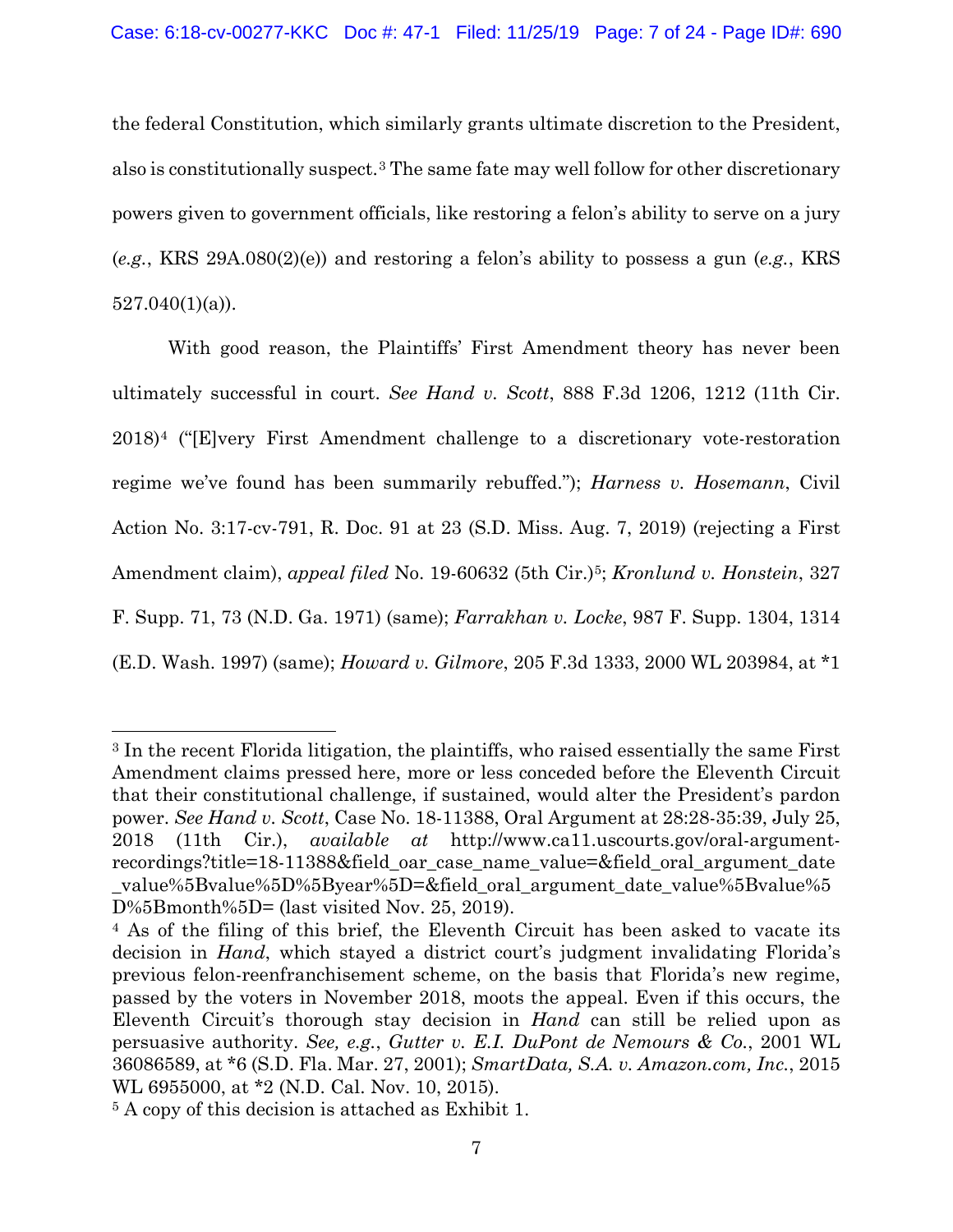the federal Constitution, which similarly grants ultimate discretion to the President, also is constitutionally suspect.[3](#page-6-0) The same fate may well follow for other discretionary powers given to government officials, like restoring a felon's ability to serve on a jury (*e.g.*, KRS 29A.080(2)(e)) and restoring a felon's ability to possess a gun (*e.g.*, KRS  $527.040(1)(a)$ .

With good reason, the Plaintiffs' First Amendment theory has never been ultimately successful in court. *See Hand v. Scott*, 888 F.3d 1206, 1212 (11th Cir. 2018)[4](#page-6-1) ("[E]very First Amendment challenge to a discretionary vote-restoration regime we've found has been summarily rebuffed."); *Harness v. Hosemann*, Civil Action No. 3:17-cv-791, R. Doc. 91 at 23 (S.D. Miss. Aug. 7, 2019) (rejecting a First Amendment claim), *appeal filed* No. 19-60632 (5th Cir.)<sup>5</sup>; *Kronlund v. Honstein*, 327 F. Supp. 71, 73 (N.D. Ga. 1971) (same); *Farrakhan v. Locke*, 987 F. Supp. 1304, 1314 (E.D. Wash. 1997) (same); *Howard v. Gilmore*, 205 F.3d 1333, 2000 WL 203984, at \*1

<span id="page-6-0"></span><sup>3</sup> In the recent Florida litigation, the plaintiffs, who raised essentially the same First Amendment claims pressed here, more or less conceded before the Eleventh Circuit that their constitutional challenge, if sustained, would alter the President's pardon power. *See Hand v. Scott*, Case No. 18-11388, Oral Argument at 28:28-35:39, July 25, 2018 (11th Cir.), *available at* http://www.ca11.uscourts.gov/oral-argumentrecordings?title=18-11388&field\_oar\_case\_name\_value=&field\_oral\_argument\_date \_value%5Bvalue%5D%5Byear%5D=&field\_oral\_argument\_date\_value%5Bvalue%5 D%5Bmonth%5D= (last visited Nov. 25, 2019).

<span id="page-6-1"></span><sup>4</sup> As of the filing of this brief, the Eleventh Circuit has been asked to vacate its decision in *Hand*, which stayed a district court's judgment invalidating Florida's previous felon-reenfranchisement scheme, on the basis that Florida's new regime, passed by the voters in November 2018, moots the appeal. Even if this occurs, the Eleventh Circuit's thorough stay decision in *Hand* can still be relied upon as persuasive authority. *See, e.g.*, *Gutter v. E.I. DuPont de Nemours & Co.*, 2001 WL 36086589, at \*6 (S.D. Fla. Mar. 27, 2001); *SmartData, S.A. v. Amazon.com, Inc.*, 2015 WL 6955000, at \*2 (N.D. Cal. Nov. 10, 2015).

<span id="page-6-2"></span><sup>5</sup> A copy of this decision is attached as Exhibit 1.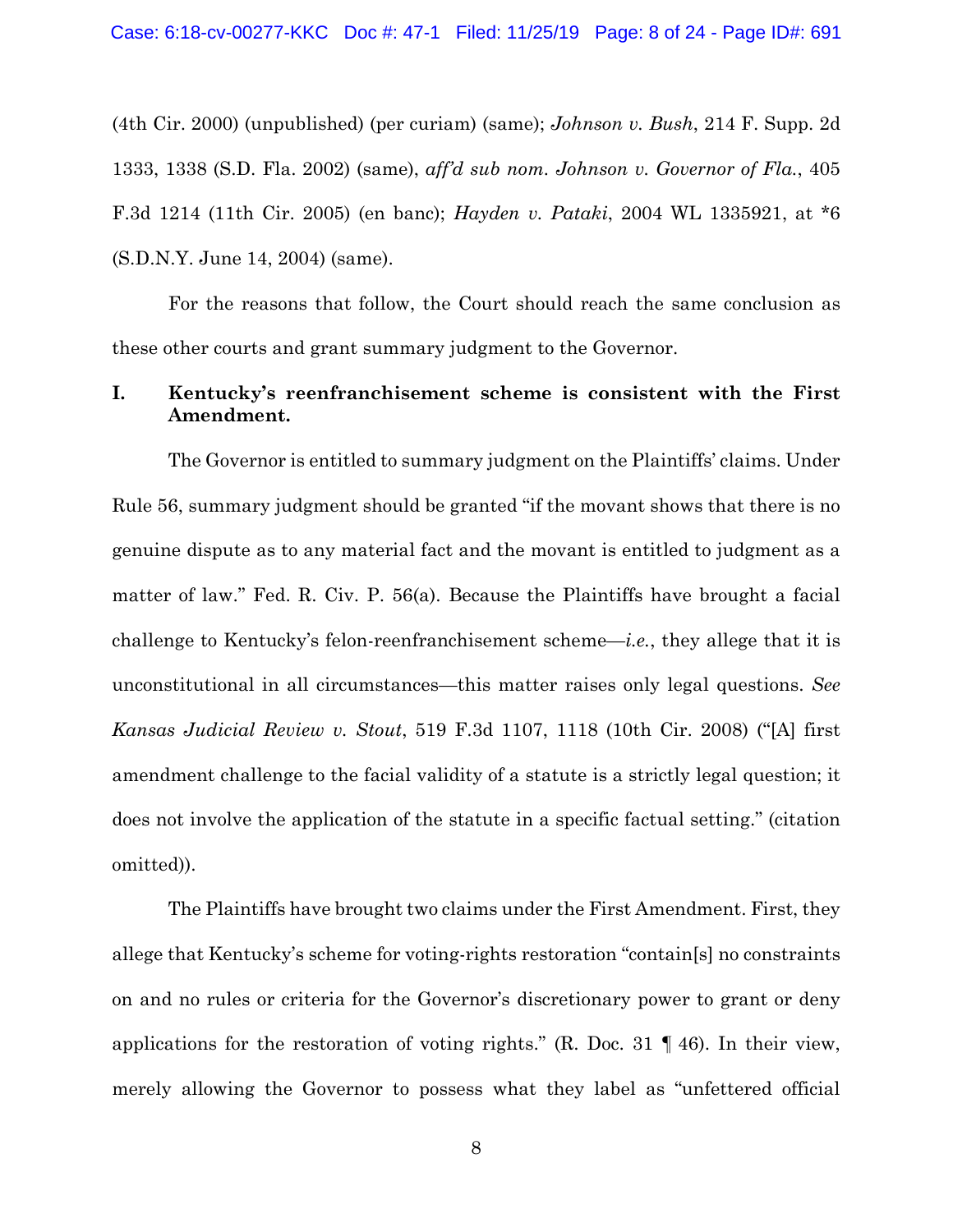(4th Cir. 2000) (unpublished) (per curiam) (same); *Johnson v. Bush*, 214 F. Supp. 2d 1333, 1338 (S.D. Fla. 2002) (same), *aff'd sub nom. Johnson v. Governor of Fla.*, 405 F.3d 1214 (11th Cir. 2005) (en banc); *Hayden v. Pataki*, 2004 WL 1335921, at \*6 (S.D.N.Y. June 14, 2004) (same).

For the reasons that follow, the Court should reach the same conclusion as these other courts and grant summary judgment to the Governor.

# **I. Kentucky's reenfranchisement scheme is consistent with the First Amendment.**

The Governor is entitled to summary judgment on the Plaintiffs' claims. Under Rule 56, summary judgment should be granted "if the movant shows that there is no genuine dispute as to any material fact and the movant is entitled to judgment as a matter of law." Fed. R. Civ. P. 56(a). Because the Plaintiffs have brought a facial challenge to Kentucky's felon-reenfranchisement scheme—*i.e.*, they allege that it is unconstitutional in all circumstances—this matter raises only legal questions. *See Kansas Judicial Review v. Stout*, 519 F.3d 1107, 1118 (10th Cir. 2008) ("[A] first amendment challenge to the facial validity of a statute is a strictly legal question; it does not involve the application of the statute in a specific factual setting." (citation omitted)).

The Plaintiffs have brought two claims under the First Amendment. First, they allege that Kentucky's scheme for voting-rights restoration "contain[s] no constraints on and no rules or criteria for the Governor's discretionary power to grant or deny applications for the restoration of voting rights." (R. Doc. 31 ¶ 46). In their view, merely allowing the Governor to possess what they label as "unfettered official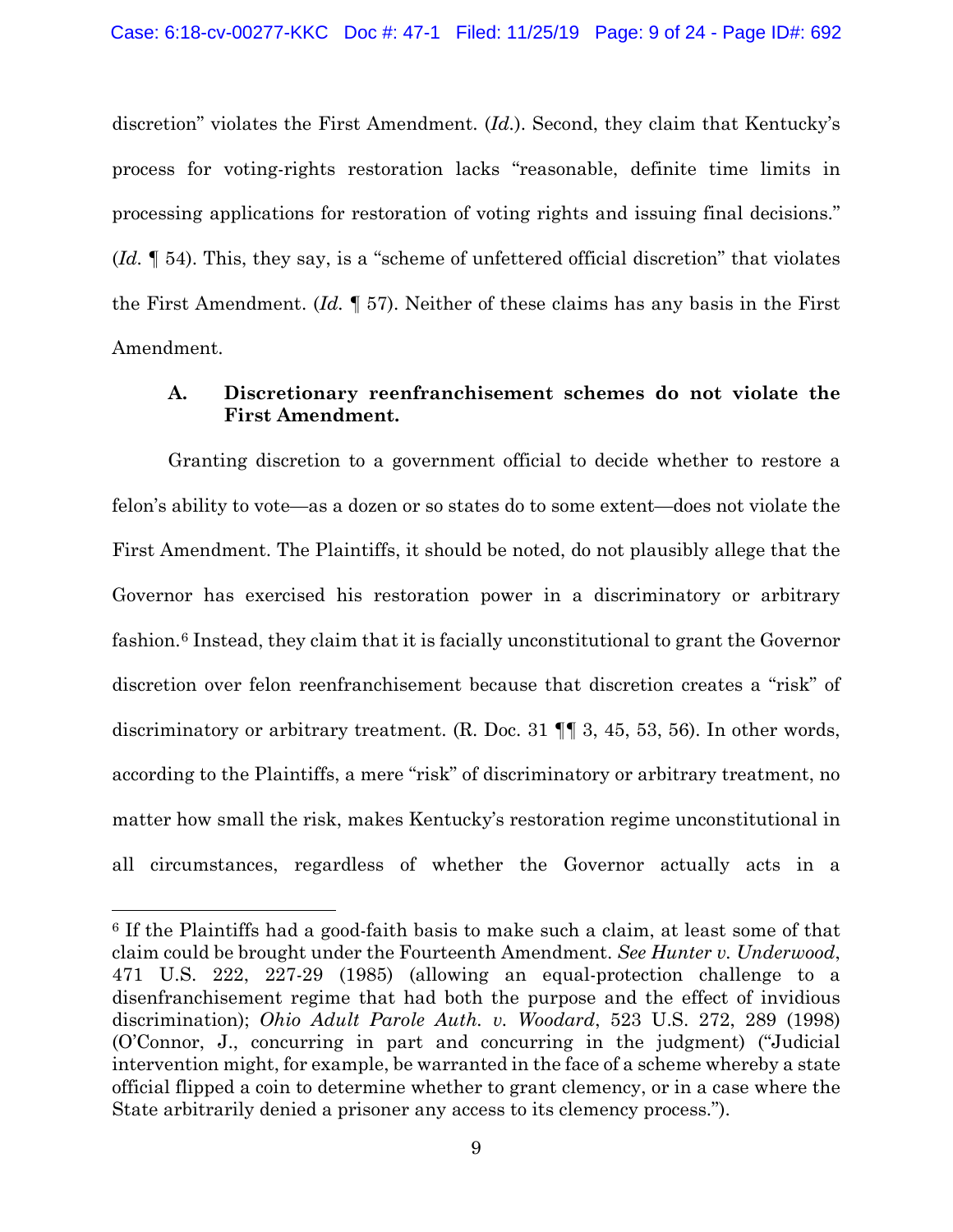discretion" violates the First Amendment. (*Id.*). Second, they claim that Kentucky's process for voting-rights restoration lacks "reasonable, definite time limits in processing applications for restoration of voting rights and issuing final decisions." (*Id.* ¶ 54). This, they say, is a "scheme of unfettered official discretion" that violates the First Amendment. (*Id.* ¶ 57). Neither of these claims has any basis in the First Amendment.

# **A. Discretionary reenfranchisement schemes do not violate the First Amendment.**

Granting discretion to a government official to decide whether to restore a felon's ability to vote—as a dozen or so states do to some extent—does not violate the First Amendment. The Plaintiffs, it should be noted, do not plausibly allege that the Governor has exercised his restoration power in a discriminatory or arbitrary fashion.[6](#page-8-0) Instead, they claim that it is facially unconstitutional to grant the Governor discretion over felon reenfranchisement because that discretion creates a "risk" of discriminatory or arbitrary treatment. (R. Doc. 31 ¶¶ 3, 45, 53, 56). In other words, according to the Plaintiffs, a mere "risk" of discriminatory or arbitrary treatment, no matter how small the risk, makes Kentucky's restoration regime unconstitutional in all circumstances, regardless of whether the Governor actually acts in a

<span id="page-8-0"></span><sup>6</sup> If the Plaintiffs had a good-faith basis to make such a claim, at least some of that claim could be brought under the Fourteenth Amendment. *See Hunter v. Underwood*, 471 U.S. 222, 227-29 (1985) (allowing an equal-protection challenge to a disenfranchisement regime that had both the purpose and the effect of invidious discrimination); *Ohio Adult Parole Auth. v. Woodard*, 523 U.S. 272, 289 (1998) (O'Connor, J., concurring in part and concurring in the judgment) ("Judicial intervention might, for example, be warranted in the face of a scheme whereby a state official flipped a coin to determine whether to grant clemency, or in a case where the State arbitrarily denied a prisoner any access to its clemency process.").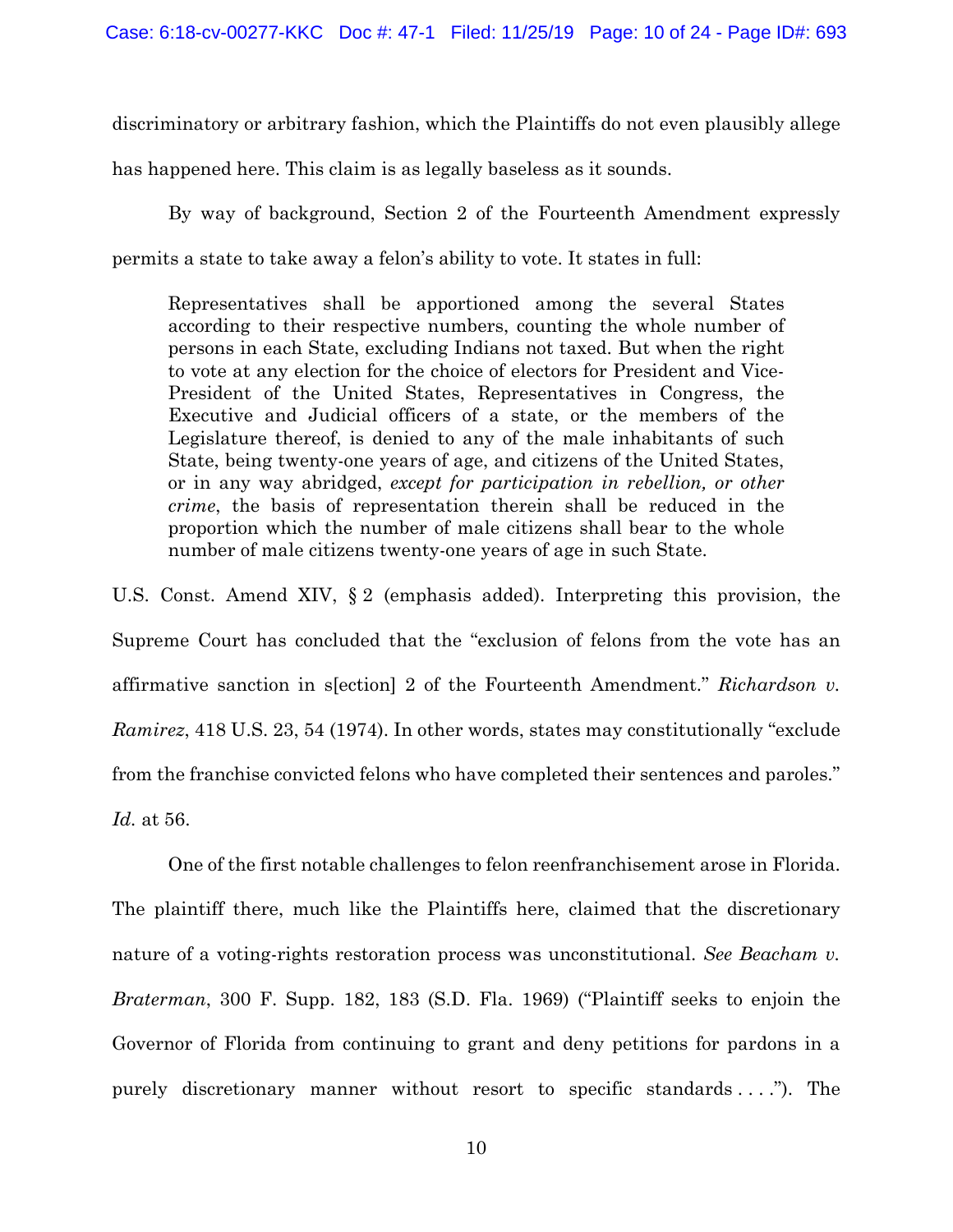discriminatory or arbitrary fashion, which the Plaintiffs do not even plausibly allege

has happened here. This claim is as legally baseless as it sounds.

By way of background, Section 2 of the Fourteenth Amendment expressly permits a state to take away a felon's ability to vote. It states in full:

Representatives shall be apportioned among the several States according to their respective numbers, counting the whole number of persons in each State, excluding Indians not taxed. But when the right to vote at any election for the choice of electors for President and Vice-President of the United States, Representatives in Congress, the Executive and Judicial officers of a state, or the members of the Legislature thereof, is denied to any of the male inhabitants of such State, being twenty-one years of age, and citizens of the United States, or in any way abridged, *except for participation in rebellion, or other crime*, the basis of representation therein shall be reduced in the proportion which the number of male citizens shall bear to the whole number of male citizens twenty-one years of age in such State.

U.S. Const. Amend XIV, § 2 (emphasis added). Interpreting this provision, the Supreme Court has concluded that the "exclusion of felons from the vote has an affirmative sanction in s[ection] 2 of the Fourteenth Amendment." *Richardson v. Ramirez*, 418 U.S. 23, 54 (1974). In other words, states may constitutionally "exclude from the franchise convicted felons who have completed their sentences and paroles." *Id.* at 56.

One of the first notable challenges to felon reenfranchisement arose in Florida. The plaintiff there, much like the Plaintiffs here, claimed that the discretionary nature of a voting-rights restoration process was unconstitutional. *See Beacham v. Braterman*, 300 F. Supp. 182, 183 (S.D. Fla. 1969) ("Plaintiff seeks to enjoin the Governor of Florida from continuing to grant and deny petitions for pardons in a purely discretionary manner without resort to specific standards . . . ."). The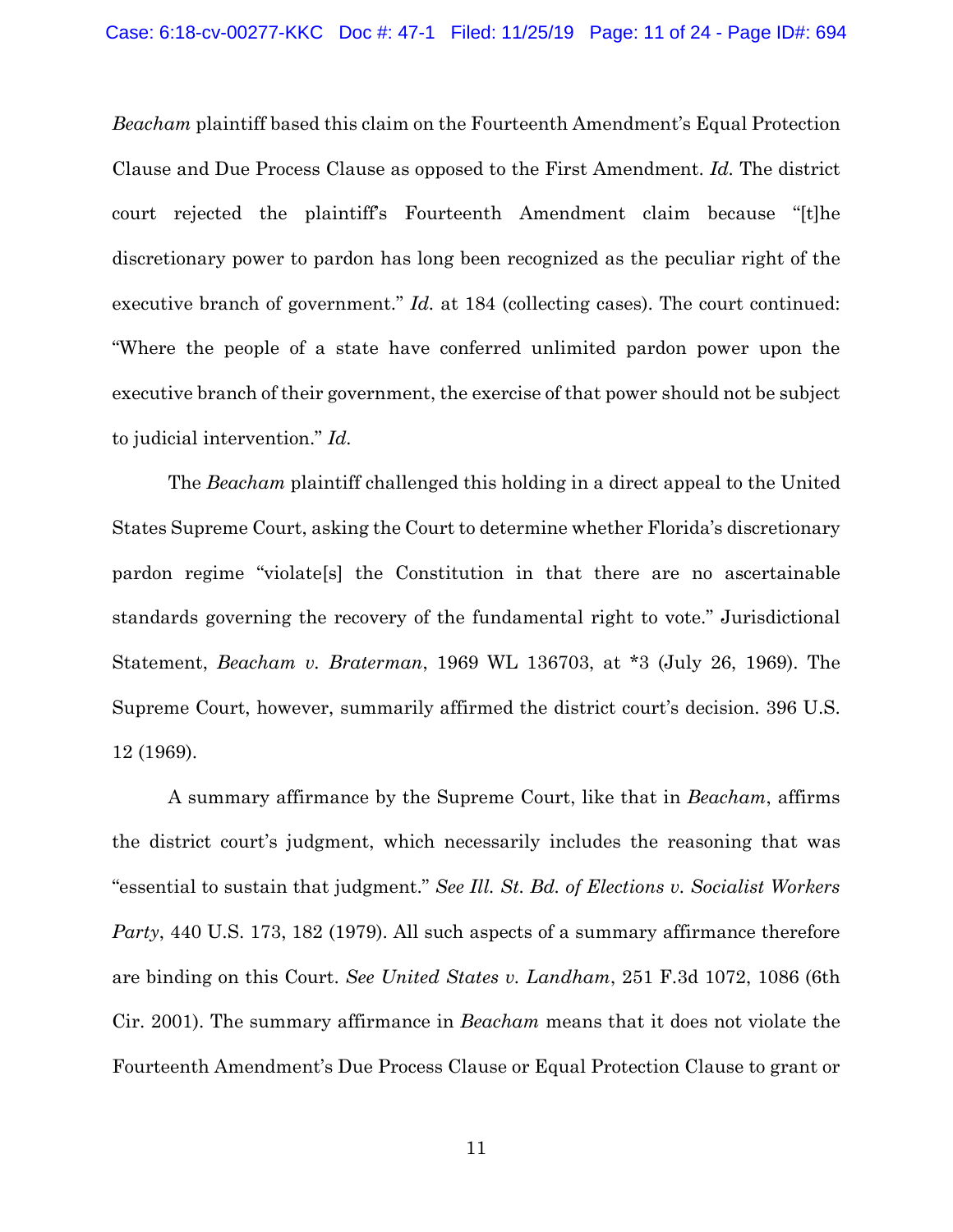*Beacham* plaintiff based this claim on the Fourteenth Amendment's Equal Protection Clause and Due Process Clause as opposed to the First Amendment. *Id.* The district court rejected the plaintiff's Fourteenth Amendment claim because "[t]he discretionary power to pardon has long been recognized as the peculiar right of the executive branch of government." *Id.* at 184 (collecting cases). The court continued: "Where the people of a state have conferred unlimited pardon power upon the executive branch of their government, the exercise of that power should not be subject to judicial intervention." *Id.*

The *Beacham* plaintiff challenged this holding in a direct appeal to the United States Supreme Court, asking the Court to determine whether Florida's discretionary pardon regime "violate[s] the Constitution in that there are no ascertainable standards governing the recovery of the fundamental right to vote." Jurisdictional Statement, *Beacham v. Braterman*, 1969 WL 136703, at \*3 (July 26, 1969). The Supreme Court, however, summarily affirmed the district court's decision. 396 U.S. 12 (1969).

A summary affirmance by the Supreme Court, like that in *Beacham*, affirms the district court's judgment, which necessarily includes the reasoning that was "essential to sustain that judgment." *See Ill. St. Bd. of Elections v. Socialist Workers Party*, 440 U.S. 173, 182 (1979). All such aspects of a summary affirmance therefore are binding on this Court. *See United States v. Landham*, 251 F.3d 1072, 1086 (6th Cir. 2001). The summary affirmance in *Beacham* means that it does not violate the Fourteenth Amendment's Due Process Clause or Equal Protection Clause to grant or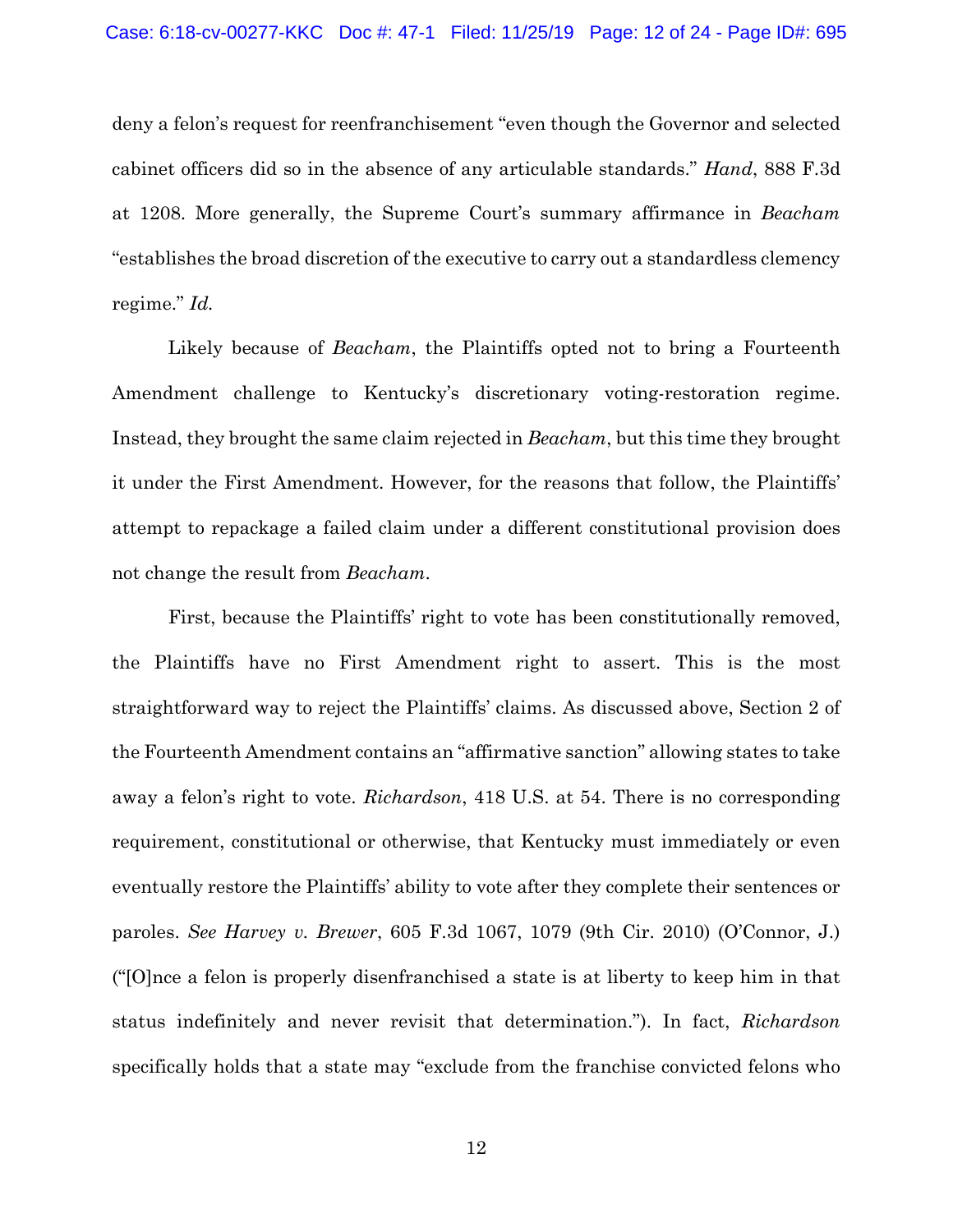deny a felon's request for reenfranchisement "even though the Governor and selected cabinet officers did so in the absence of any articulable standards." *Hand*, 888 F.3d at 1208. More generally, the Supreme Court's summary affirmance in *Beacham*  "establishes the broad discretion of the executive to carry out a standardless clemency regime." *Id.*

Likely because of *Beacham*, the Plaintiffs opted not to bring a Fourteenth Amendment challenge to Kentucky's discretionary voting-restoration regime. Instead, they brought the same claim rejected in *Beacham*, but this time they brought it under the First Amendment. However, for the reasons that follow, the Plaintiffs' attempt to repackage a failed claim under a different constitutional provision does not change the result from *Beacham*.

First, because the Plaintiffs' right to vote has been constitutionally removed, the Plaintiffs have no First Amendment right to assert. This is the most straightforward way to reject the Plaintiffs' claims. As discussed above, Section 2 of the Fourteenth Amendment contains an "affirmative sanction" allowing states to take away a felon's right to vote. *Richardson*, 418 U.S. at 54. There is no corresponding requirement, constitutional or otherwise, that Kentucky must immediately or even eventually restore the Plaintiffs' ability to vote after they complete their sentences or paroles. *See Harvey v. Brewer*, 605 F.3d 1067, 1079 (9th Cir. 2010) (O'Connor, J.) ("[O]nce a felon is properly disenfranchised a state is at liberty to keep him in that status indefinitely and never revisit that determination."). In fact, *Richardson*  specifically holds that a state may "exclude from the franchise convicted felons who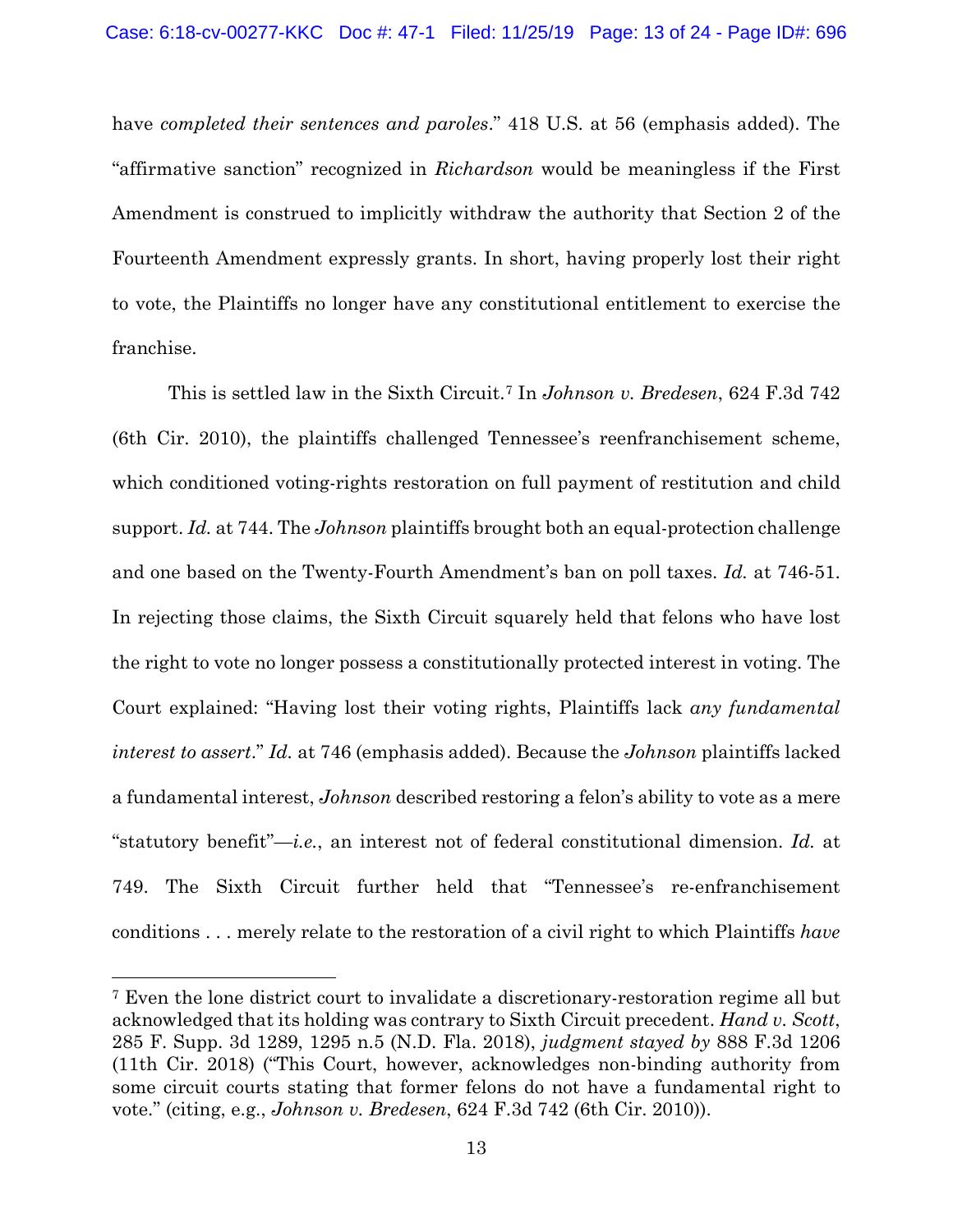have *completed their sentences and paroles*." 418 U.S. at 56 (emphasis added). The "affirmative sanction" recognized in *Richardson* would be meaningless if the First Amendment is construed to implicitly withdraw the authority that Section 2 of the Fourteenth Amendment expressly grants. In short, having properly lost their right to vote, the Plaintiffs no longer have any constitutional entitlement to exercise the franchise.

This is settled law in the Sixth Circuit.[7](#page-12-0) In *Johnson v. Bredesen*, 624 F.3d 742 (6th Cir. 2010), the plaintiffs challenged Tennessee's reenfranchisement scheme, which conditioned voting-rights restoration on full payment of restitution and child support. *Id.* at 744. The *Johnson* plaintiffs brought both an equal-protection challenge and one based on the Twenty-Fourth Amendment's ban on poll taxes. *Id.* at 746-51. In rejecting those claims, the Sixth Circuit squarely held that felons who have lost the right to vote no longer possess a constitutionally protected interest in voting. The Court explained: "Having lost their voting rights, Plaintiffs lack *any fundamental interest to assert*." *Id.* at 746 (emphasis added). Because the *Johnson* plaintiffs lacked a fundamental interest, *Johnson* described restoring a felon's ability to vote as a mere "statutory benefit"—*i.e.*, an interest not of federal constitutional dimension. *Id.* at 749. The Sixth Circuit further held that "Tennessee's re-enfranchisement conditions . . . merely relate to the restoration of a civil right to which Plaintiffs *have* 

<span id="page-12-0"></span><sup>7</sup> Even the lone district court to invalidate a discretionary-restoration regime all but acknowledged that its holding was contrary to Sixth Circuit precedent. *Hand v. Scott*, 285 F. Supp. 3d 1289, 1295 n.5 (N.D. Fla. 2018), *judgment stayed by* 888 F.3d 1206 (11th Cir. 2018) ("This Court, however, acknowledges non-binding authority from some circuit courts stating that former felons do not have a fundamental right to vote." (citing, e.g., *Johnson v. Bredesen*, 624 F.3d 742 (6th Cir. 2010)).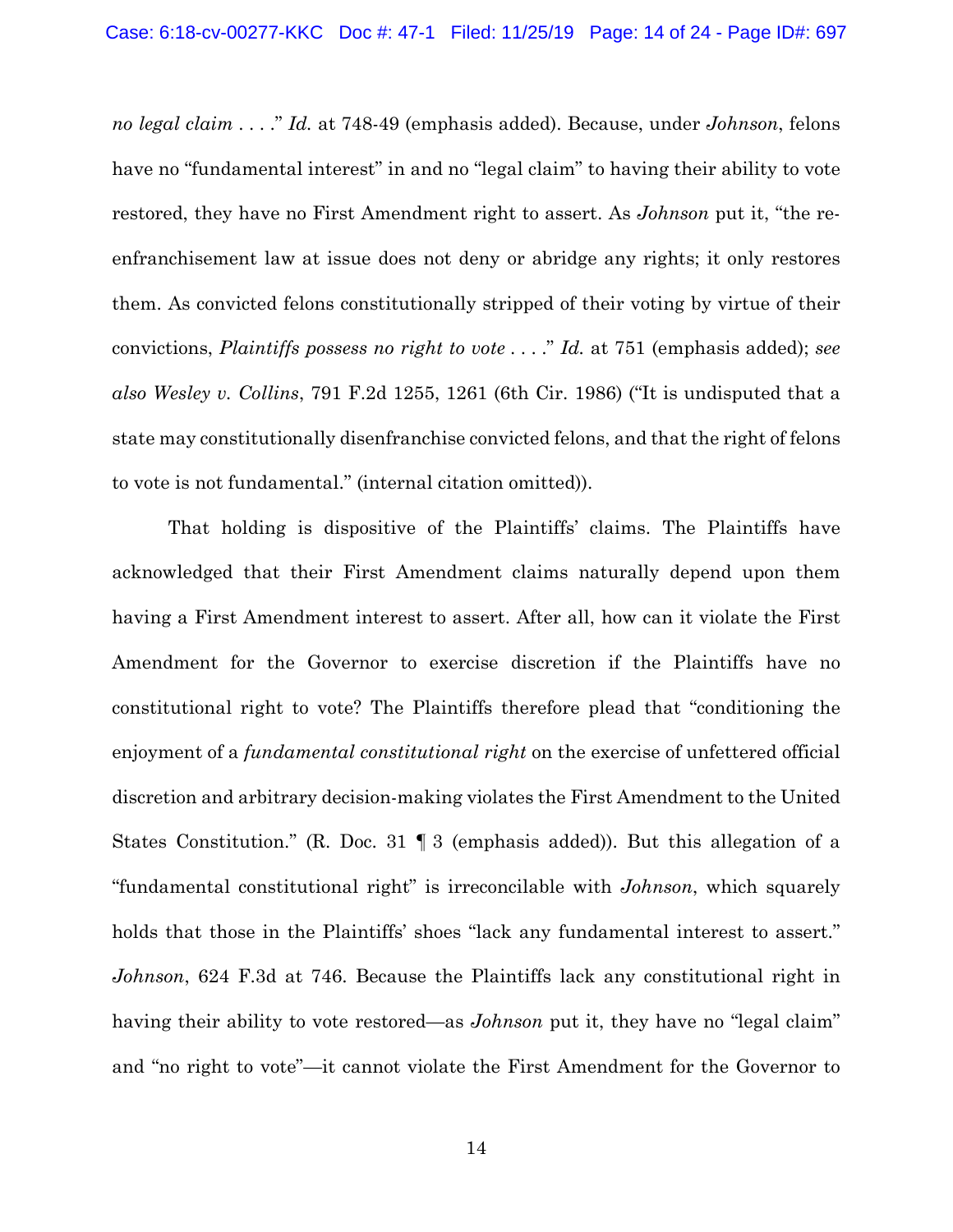*no legal claim* . . . ." *Id.* at 748-49 (emphasis added). Because, under *Johnson*, felons have no "fundamental interest" in and no "legal claim" to having their ability to vote restored, they have no First Amendment right to assert. As *Johnson* put it, "the reenfranchisement law at issue does not deny or abridge any rights; it only restores them. As convicted felons constitutionally stripped of their voting by virtue of their convictions, *Plaintiffs possess no right to vote* . . . ." *Id.* at 751 (emphasis added); *see also Wesley v. Collins*, 791 F.2d 1255, 1261 (6th Cir. 1986) ("It is undisputed that a state may constitutionally disenfranchise convicted felons, and that the right of felons to vote is not fundamental." (internal citation omitted)).

That holding is dispositive of the Plaintiffs' claims. The Plaintiffs have acknowledged that their First Amendment claims naturally depend upon them having a First Amendment interest to assert. After all, how can it violate the First Amendment for the Governor to exercise discretion if the Plaintiffs have no constitutional right to vote? The Plaintiffs therefore plead that "conditioning the enjoyment of a *fundamental constitutional right* on the exercise of unfettered official discretion and arbitrary decision-making violates the First Amendment to the United States Constitution." (R. Doc. 31 ¶ 3 (emphasis added)). But this allegation of a "fundamental constitutional right" is irreconcilable with *Johnson*, which squarely holds that those in the Plaintiffs' shoes "lack any fundamental interest to assert." *Johnson*, 624 F.3d at 746. Because the Plaintiffs lack any constitutional right in having their ability to vote restored—as *Johnson* put it, they have no "legal claim" and "no right to vote"—it cannot violate the First Amendment for the Governor to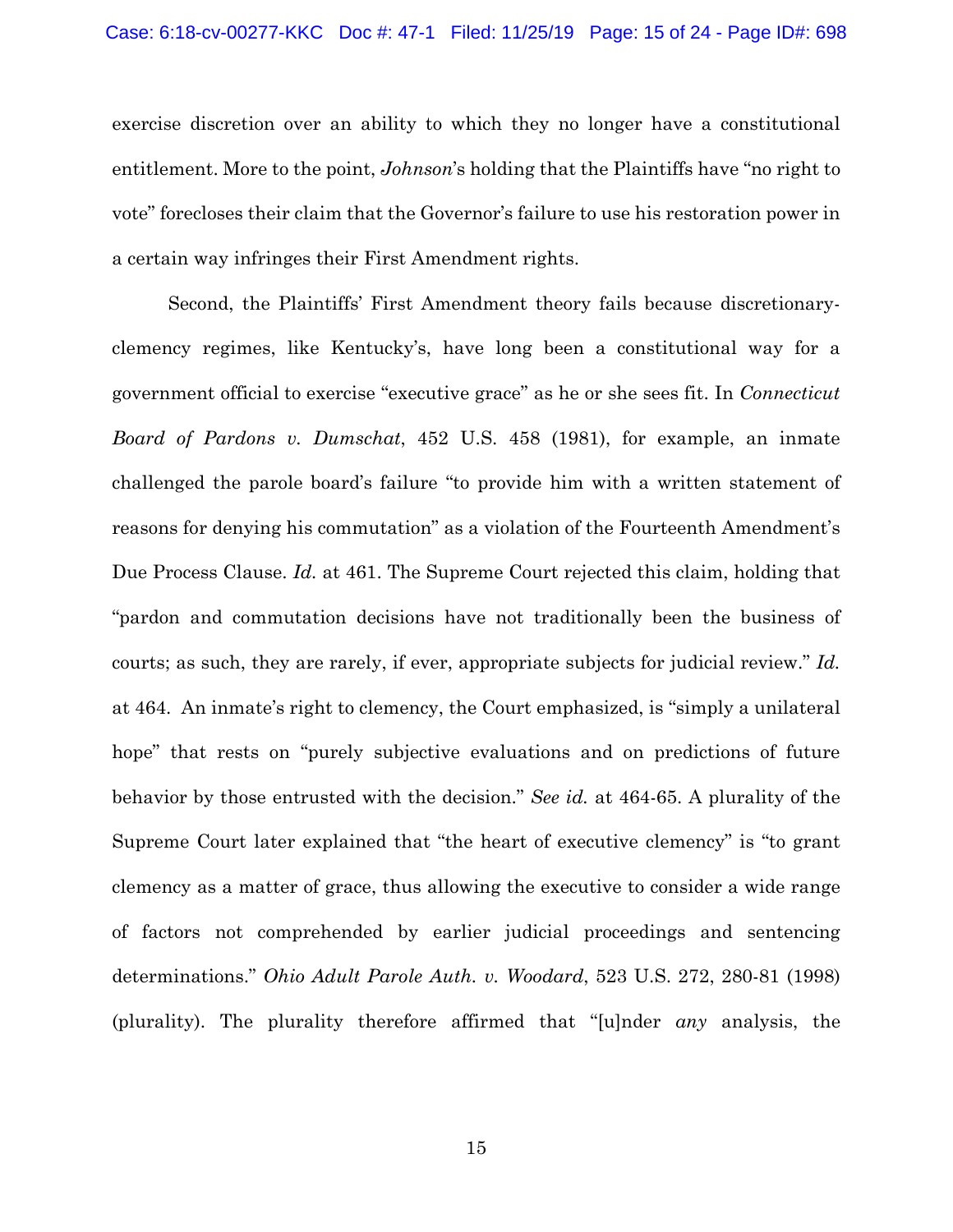exercise discretion over an ability to which they no longer have a constitutional entitlement. More to the point, *Johnson*'s holding that the Plaintiffs have "no right to vote" forecloses their claim that the Governor's failure to use his restoration power in a certain way infringes their First Amendment rights.

Second, the Plaintiffs' First Amendment theory fails because discretionaryclemency regimes, like Kentucky's, have long been a constitutional way for a government official to exercise "executive grace" as he or she sees fit. In *Connecticut Board of Pardons v. Dumschat*, 452 U.S. 458 (1981), for example, an inmate challenged the parole board's failure "to provide him with a written statement of reasons for denying his commutation" as a violation of the Fourteenth Amendment's Due Process Clause. *Id.* at 461. The Supreme Court rejected this claim, holding that "pardon and commutation decisions have not traditionally been the business of courts; as such, they are rarely, if ever, appropriate subjects for judicial review." *Id.*  at 464. An inmate's right to clemency, the Court emphasized, is "simply a unilateral hope" that rests on "purely subjective evaluations and on predictions of future behavior by those entrusted with the decision." *See id.* at 464-65. A plurality of the Supreme Court later explained that "the heart of executive clemency" is "to grant clemency as a matter of grace, thus allowing the executive to consider a wide range of factors not comprehended by earlier judicial proceedings and sentencing determinations." *Ohio Adult Parole Auth. v. Woodard*, 523 U.S. 272, 280-81 (1998) (plurality). The plurality therefore affirmed that "[u]nder *any* analysis, the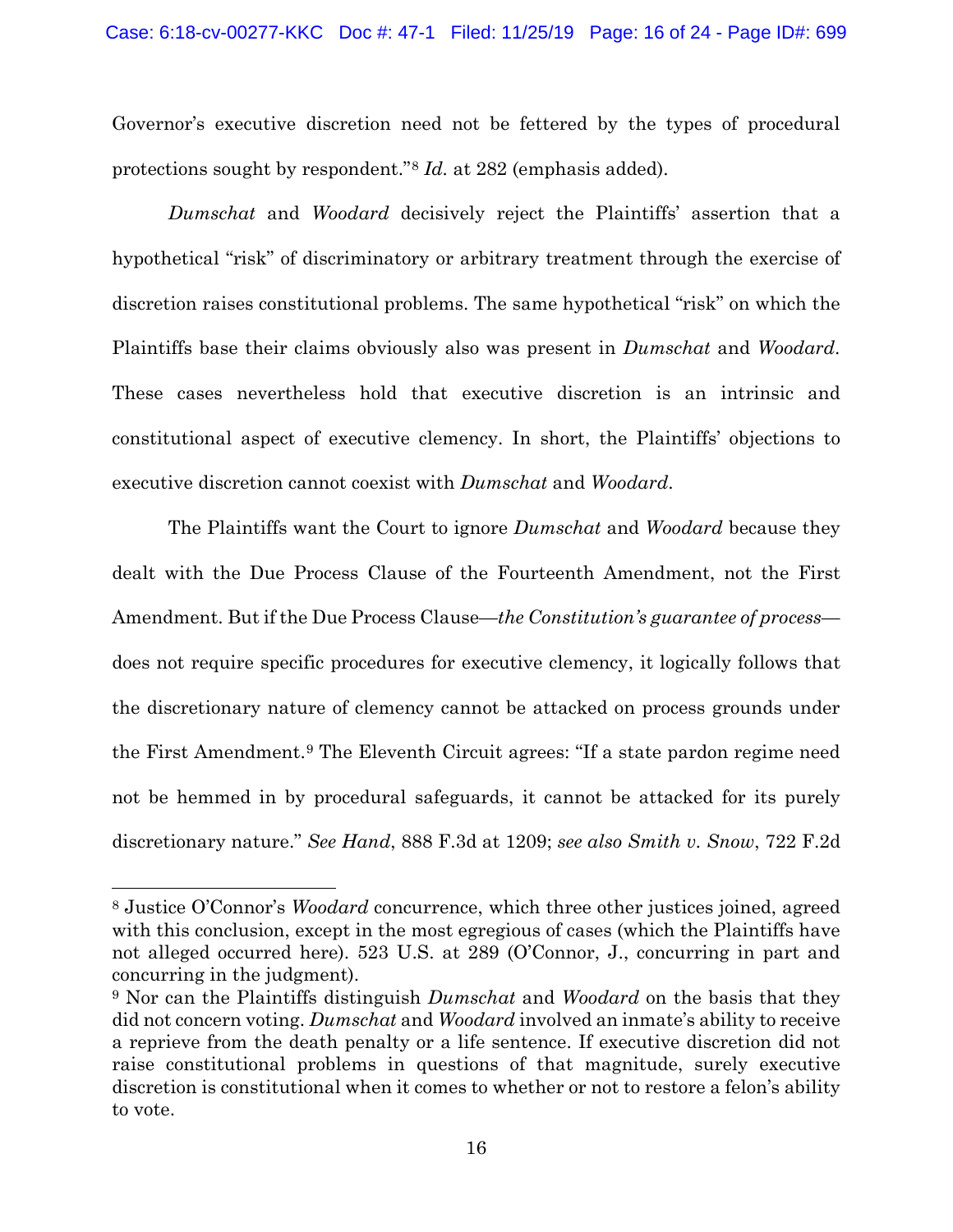Governor's executive discretion need not be fettered by the types of procedural protections sought by respondent."[8](#page-15-0) *Id.* at 282 (emphasis added).

*Dumschat* and *Woodard* decisively reject the Plaintiffs' assertion that a hypothetical "risk" of discriminatory or arbitrary treatment through the exercise of discretion raises constitutional problems. The same hypothetical "risk" on which the Plaintiffs base their claims obviously also was present in *Dumschat* and *Woodard*. These cases nevertheless hold that executive discretion is an intrinsic and constitutional aspect of executive clemency. In short, the Plaintiffs' objections to executive discretion cannot coexist with *Dumschat* and *Woodard*.

The Plaintiffs want the Court to ignore *Dumschat* and *Woodard* because they dealt with the Due Process Clause of the Fourteenth Amendment, not the First Amendment. But if the Due Process Clause—*the Constitution's guarantee of process* does not require specific procedures for executive clemency, it logically follows that the discretionary nature of clemency cannot be attacked on process grounds under the First Amendment.[9](#page-15-1) The Eleventh Circuit agrees: "If a state pardon regime need not be hemmed in by procedural safeguards, it cannot be attacked for its purely discretionary nature." *See Hand*, 888 F.3d at 1209; *see also Smith v. Snow*, 722 F.2d

<span id="page-15-0"></span><sup>8</sup> Justice O'Connor's *Woodard* concurrence, which three other justices joined, agreed with this conclusion, except in the most egregious of cases (which the Plaintiffs have not alleged occurred here). 523 U.S. at 289 (O'Connor, J., concurring in part and concurring in the judgment).

<span id="page-15-1"></span><sup>9</sup> Nor can the Plaintiffs distinguish *Dumschat* and *Woodard* on the basis that they did not concern voting. *Dumschat* and *Woodard* involved an inmate's ability to receive a reprieve from the death penalty or a life sentence. If executive discretion did not raise constitutional problems in questions of that magnitude, surely executive discretion is constitutional when it comes to whether or not to restore a felon's ability to vote.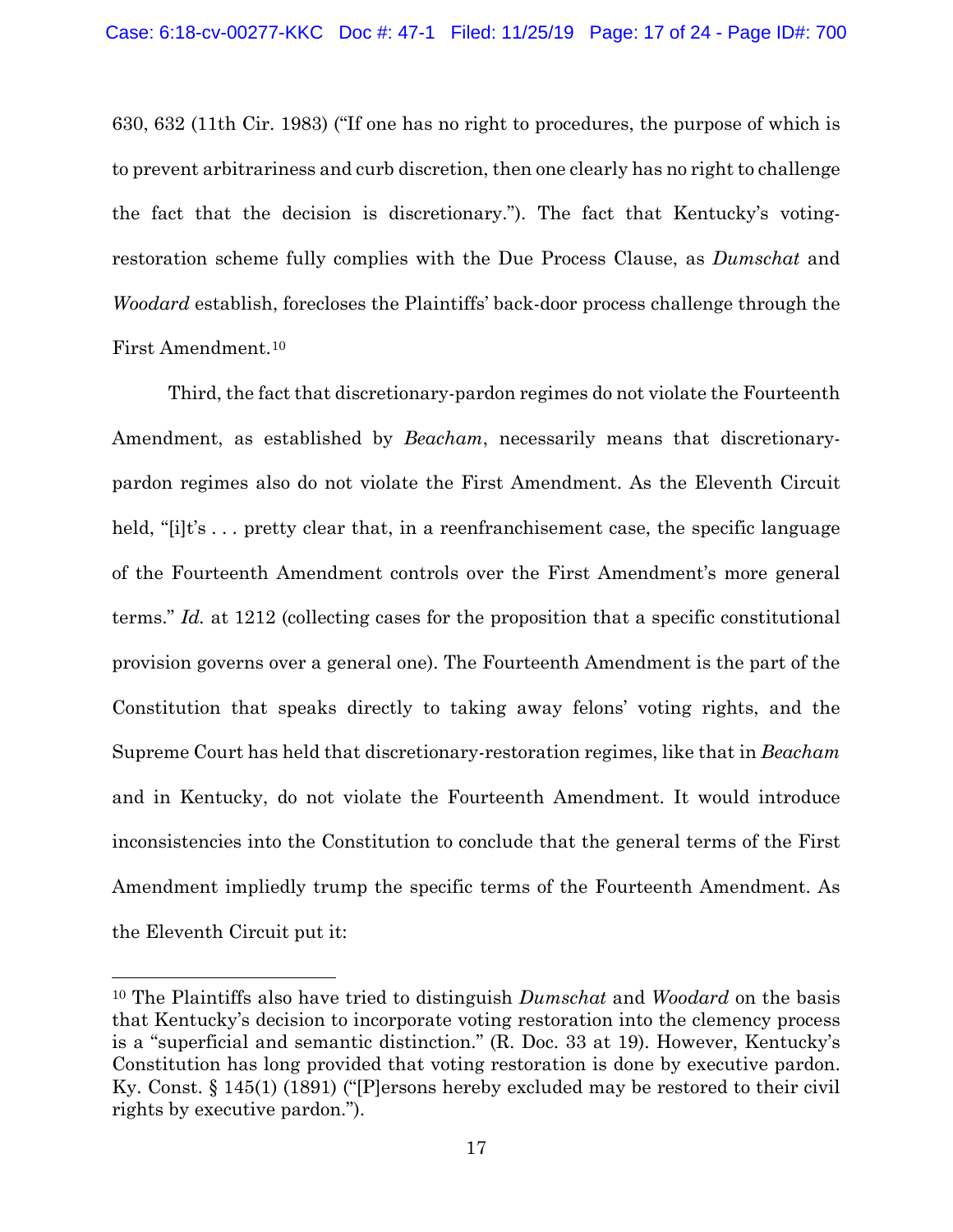630, 632 (11th Cir. 1983) ("If one has no right to procedures, the purpose of which is to prevent arbitrariness and curb discretion, then one clearly has no right to challenge the fact that the decision is discretionary."). The fact that Kentucky's votingrestoration scheme fully complies with the Due Process Clause, as *Dumschat* and *Woodard* establish, forecloses the Plaintiffs' back-door process challenge through the First Amendment.[10](#page-16-0)

Third, the fact that discretionary-pardon regimes do not violate the Fourteenth Amendment, as established by *Beacham*, necessarily means that discretionarypardon regimes also do not violate the First Amendment. As the Eleventh Circuit held, "[i]t's ... pretty clear that, in a reenfranchisement case, the specific language of the Fourteenth Amendment controls over the First Amendment's more general terms." *Id.* at 1212 (collecting cases for the proposition that a specific constitutional provision governs over a general one). The Fourteenth Amendment is the part of the Constitution that speaks directly to taking away felons' voting rights, and the Supreme Court has held that discretionary-restoration regimes, like that in *Beacham* and in Kentucky, do not violate the Fourteenth Amendment. It would introduce inconsistencies into the Constitution to conclude that the general terms of the First Amendment impliedly trump the specific terms of the Fourteenth Amendment. As the Eleventh Circuit put it:

<span id="page-16-0"></span><sup>10</sup> The Plaintiffs also have tried to distinguish *Dumschat* and *Woodard* on the basis that Kentucky's decision to incorporate voting restoration into the clemency process is a "superficial and semantic distinction." (R. Doc. 33 at 19). However, Kentucky's Constitution has long provided that voting restoration is done by executive pardon. Ky. Const. § 145(1) (1891) ("[P]ersons hereby excluded may be restored to their civil rights by executive pardon.").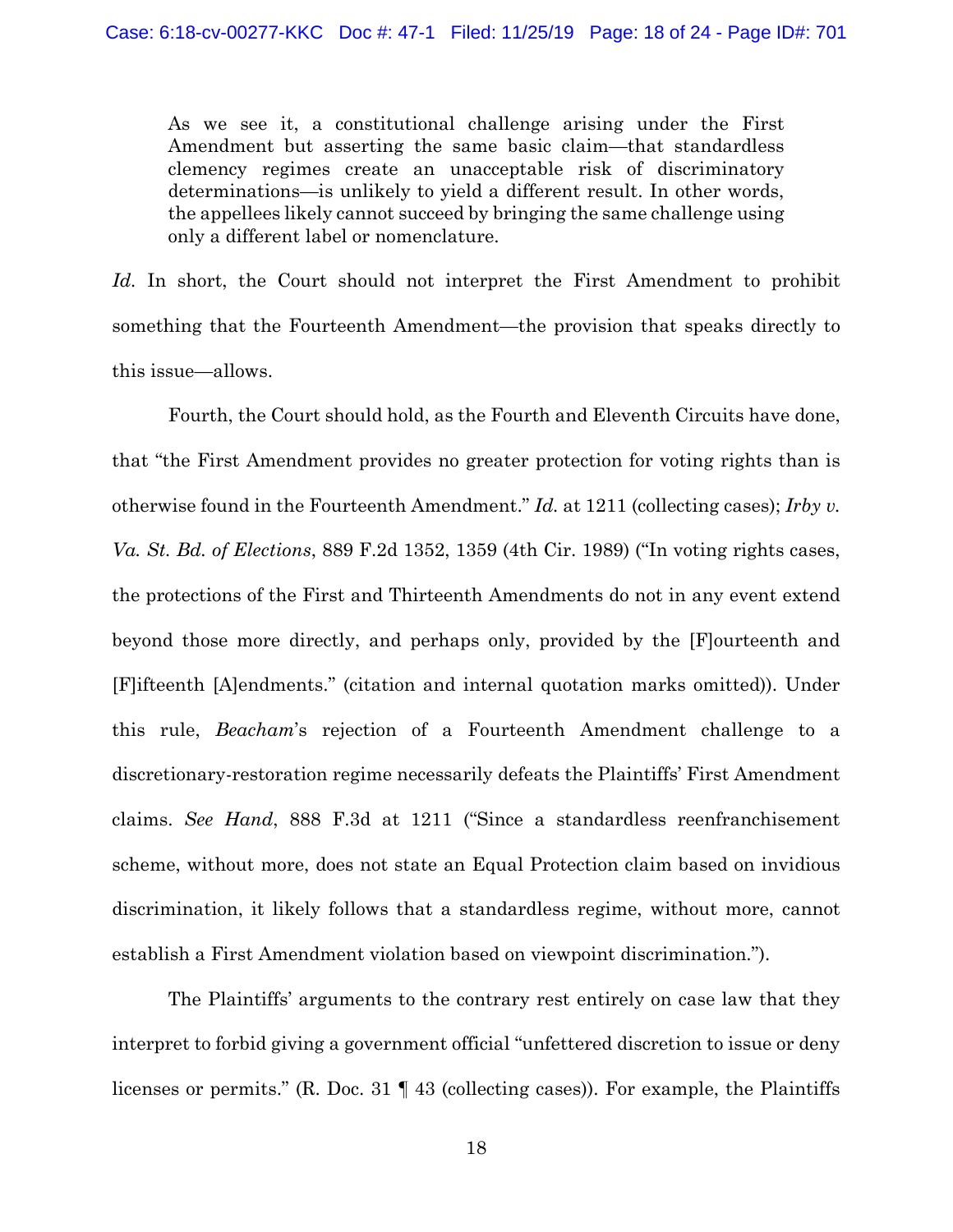As we see it, a constitutional challenge arising under the First Amendment but asserting the same basic claim—that standardless clemency regimes create an unacceptable risk of discriminatory determinations—is unlikely to yield a different result. In other words, the appellees likely cannot succeed by bringing the same challenge using only a different label or nomenclature.

*Id.* In short, the Court should not interpret the First Amendment to prohibit something that the Fourteenth Amendment—the provision that speaks directly to this issue—allows.

Fourth, the Court should hold, as the Fourth and Eleventh Circuits have done, that "the First Amendment provides no greater protection for voting rights than is otherwise found in the Fourteenth Amendment." *Id.* at 1211 (collecting cases); *Irby v. Va. St. Bd. of Elections*, 889 F.2d 1352, 1359 (4th Cir. 1989) ("In voting rights cases, the protections of the First and Thirteenth Amendments do not in any event extend beyond those more directly, and perhaps only, provided by the [F]ourteenth and [F]ifteenth [A]endments." (citation and internal quotation marks omitted)). Under this rule, *Beacham*'s rejection of a Fourteenth Amendment challenge to a discretionary-restoration regime necessarily defeats the Plaintiffs' First Amendment claims. *See Hand*, 888 F.3d at 1211 ("Since a standardless reenfranchisement scheme, without more, does not state an Equal Protection claim based on invidious discrimination, it likely follows that a standardless regime, without more, cannot establish a First Amendment violation based on viewpoint discrimination.").

The Plaintiffs' arguments to the contrary rest entirely on case law that they interpret to forbid giving a government official "unfettered discretion to issue or deny licenses or permits." (R. Doc. 31 ¶ 43 (collecting cases)). For example, the Plaintiffs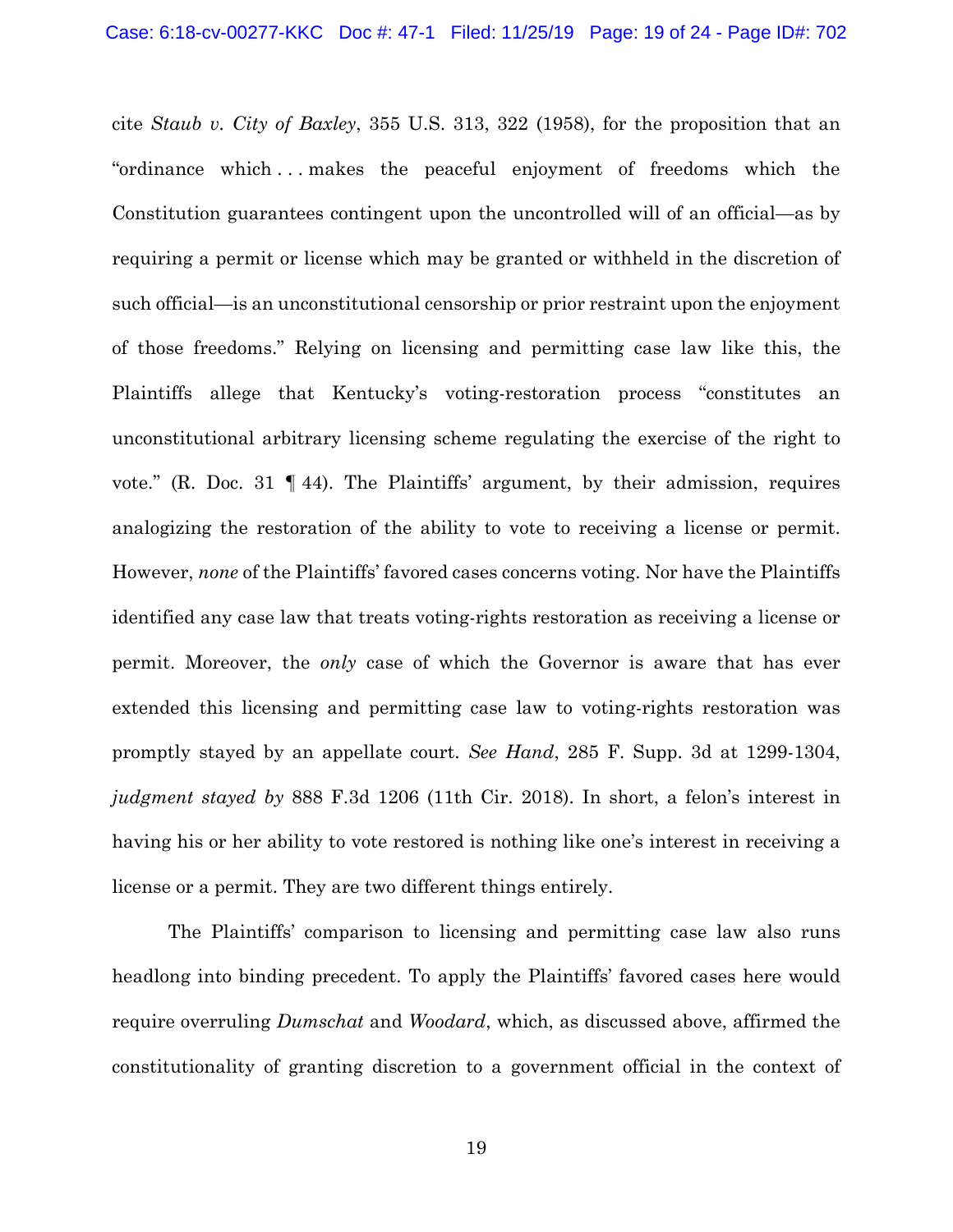cite *Staub v. City of Baxley*, 355 U.S. 313, 322 (1958), for the proposition that an "ordinance which . . . makes the peaceful enjoyment of freedoms which the Constitution guarantees contingent upon the uncontrolled will of an official—as by requiring a permit or license which may be granted or withheld in the discretion of such official—is an unconstitutional censorship or prior restraint upon the enjoyment of those freedoms." Relying on licensing and permitting case law like this, the Plaintiffs allege that Kentucky's voting-restoration process "constitutes an unconstitutional arbitrary licensing scheme regulating the exercise of the right to vote." (R. Doc. 31 ¶ 44). The Plaintiffs' argument, by their admission, requires analogizing the restoration of the ability to vote to receiving a license or permit. However, *none* of the Plaintiffs' favored cases concerns voting. Nor have the Plaintiffs identified any case law that treats voting-rights restoration as receiving a license or permit. Moreover, the *only* case of which the Governor is aware that has ever extended this licensing and permitting case law to voting-rights restoration was promptly stayed by an appellate court. *See Hand*, 285 F. Supp. 3d at 1299-1304, *judgment stayed by* 888 F.3d 1206 (11th Cir. 2018). In short, a felon's interest in having his or her ability to vote restored is nothing like one's interest in receiving a license or a permit. They are two different things entirely.

The Plaintiffs' comparison to licensing and permitting case law also runs headlong into binding precedent. To apply the Plaintiffs' favored cases here would require overruling *Dumschat* and *Woodard*, which, as discussed above, affirmed the constitutionality of granting discretion to a government official in the context of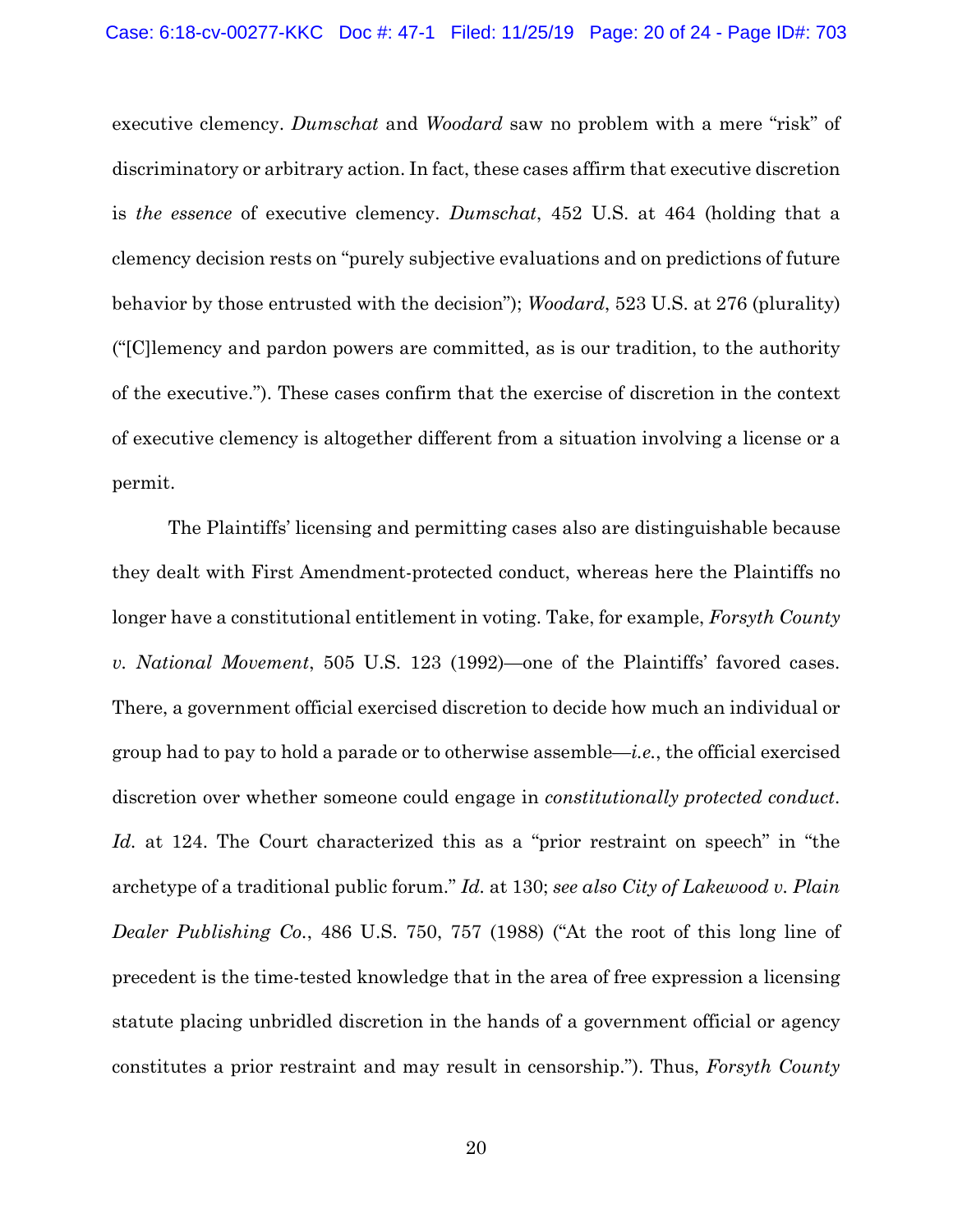executive clemency. *Dumschat* and *Woodard* saw no problem with a mere "risk" of discriminatory or arbitrary action. In fact, these cases affirm that executive discretion is *the essence* of executive clemency. *Dumschat*, 452 U.S. at 464 (holding that a clemency decision rests on "purely subjective evaluations and on predictions of future behavior by those entrusted with the decision"); *Woodard*, 523 U.S. at 276 (plurality) ("[C]lemency and pardon powers are committed, as is our tradition, to the authority of the executive."). These cases confirm that the exercise of discretion in the context of executive clemency is altogether different from a situation involving a license or a permit.

The Plaintiffs' licensing and permitting cases also are distinguishable because they dealt with First Amendment-protected conduct, whereas here the Plaintiffs no longer have a constitutional entitlement in voting. Take, for example, *Forsyth County v. National Movement*, 505 U.S. 123 (1992)—one of the Plaintiffs' favored cases. There, a government official exercised discretion to decide how much an individual or group had to pay to hold a parade or to otherwise assemble—*i.e.*, the official exercised discretion over whether someone could engage in *constitutionally protected conduct*. *Id.* at 124. The Court characterized this as a "prior restraint on speech" in "the archetype of a traditional public forum." *Id.* at 130; *see also City of Lakewood v. Plain Dealer Publishing Co.*, 486 U.S. 750, 757 (1988) ("At the root of this long line of precedent is the time-tested knowledge that in the area of free expression a licensing statute placing unbridled discretion in the hands of a government official or agency constitutes a prior restraint and may result in censorship."). Thus, *Forsyth County*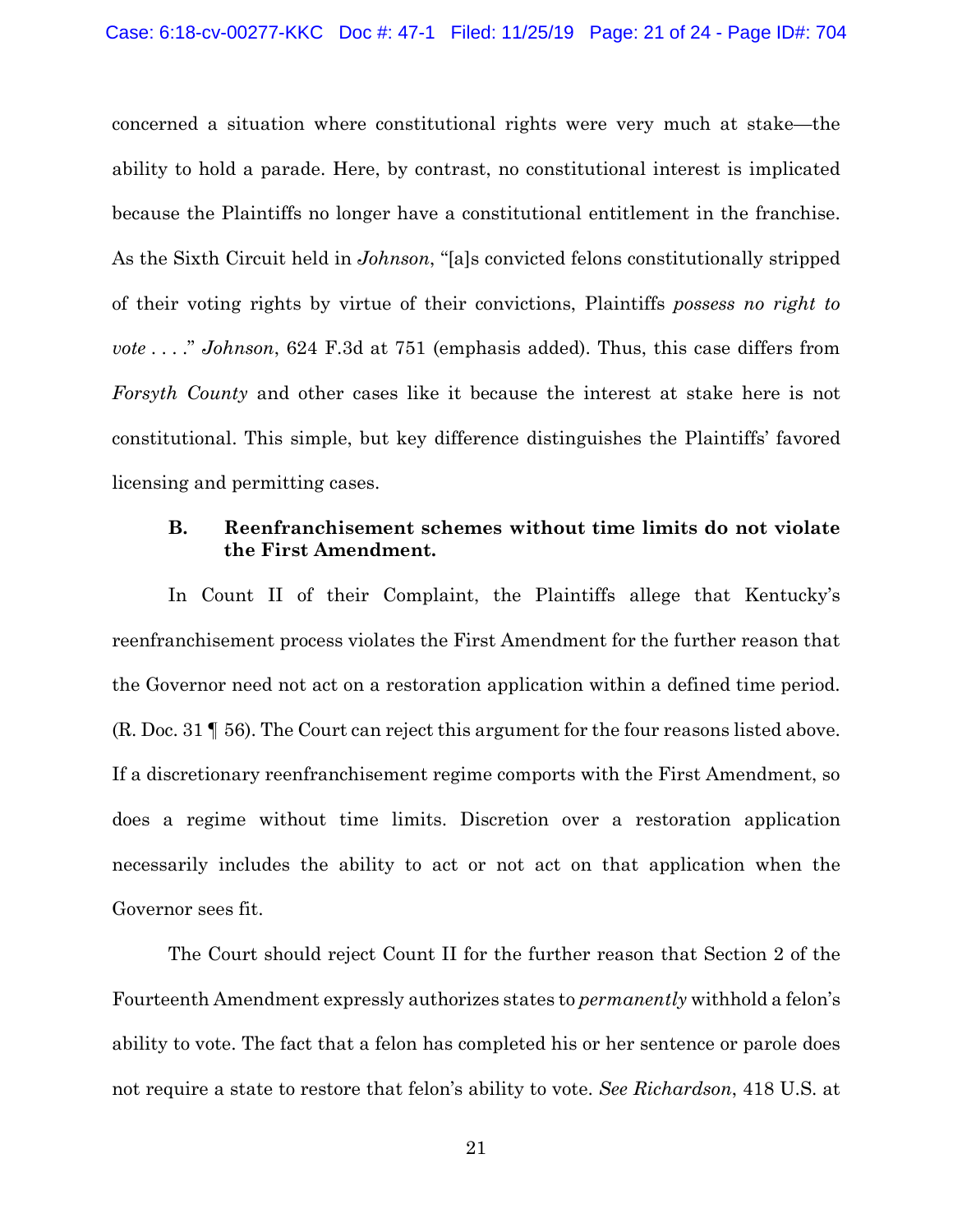concerned a situation where constitutional rights were very much at stake—the ability to hold a parade. Here, by contrast, no constitutional interest is implicated because the Plaintiffs no longer have a constitutional entitlement in the franchise. As the Sixth Circuit held in *Johnson*, "[a]s convicted felons constitutionally stripped of their voting rights by virtue of their convictions, Plaintiffs *possess no right to vote* . . . ." *Johnson*, 624 F.3d at 751 (emphasis added). Thus, this case differs from *Forsyth County* and other cases like it because the interest at stake here is not constitutional. This simple, but key difference distinguishes the Plaintiffs' favored licensing and permitting cases.

## **B. Reenfranchisement schemes without time limits do not violate the First Amendment.**

In Count II of their Complaint, the Plaintiffs allege that Kentucky's reenfranchisement process violates the First Amendment for the further reason that the Governor need not act on a restoration application within a defined time period. (R. Doc. 31 ¶ 56). The Court can reject this argument for the four reasons listed above. If a discretionary reenfranchisement regime comports with the First Amendment, so does a regime without time limits. Discretion over a restoration application necessarily includes the ability to act or not act on that application when the Governor sees fit.

The Court should reject Count II for the further reason that Section 2 of the Fourteenth Amendment expressly authorizes states to *permanently* withhold a felon's ability to vote. The fact that a felon has completed his or her sentence or parole does not require a state to restore that felon's ability to vote. *See Richardson*, 418 U.S. at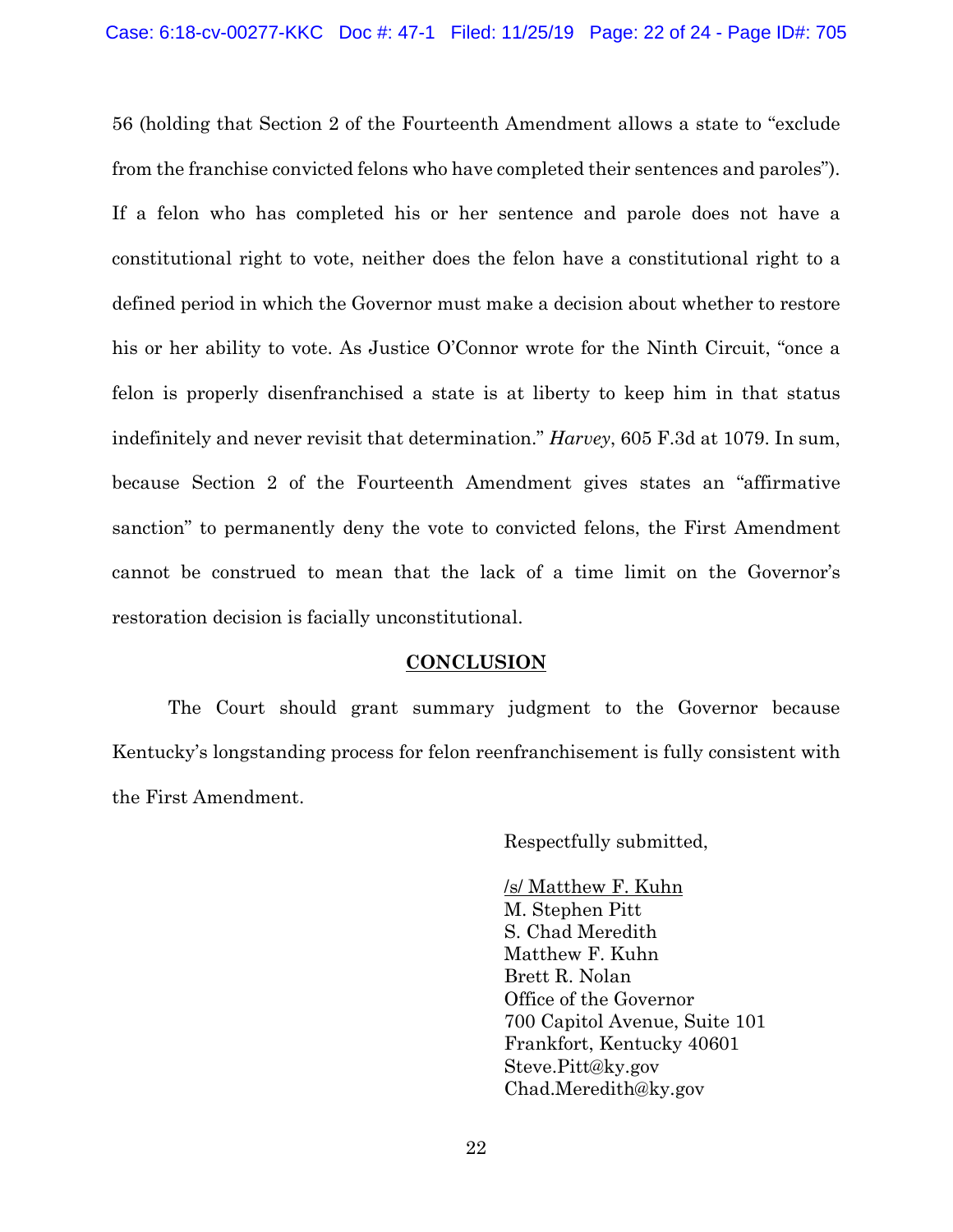56 (holding that Section 2 of the Fourteenth Amendment allows a state to "exclude from the franchise convicted felons who have completed their sentences and paroles"). If a felon who has completed his or her sentence and parole does not have a constitutional right to vote, neither does the felon have a constitutional right to a defined period in which the Governor must make a decision about whether to restore his or her ability to vote. As Justice O'Connor wrote for the Ninth Circuit, "once a felon is properly disenfranchised a state is at liberty to keep him in that status indefinitely and never revisit that determination." *Harvey*, 605 F.3d at 1079. In sum, because Section 2 of the Fourteenth Amendment gives states an "affirmative sanction" to permanently deny the vote to convicted felons, the First Amendment cannot be construed to mean that the lack of a time limit on the Governor's restoration decision is facially unconstitutional.

## **CONCLUSION**

The Court should grant summary judgment to the Governor because Kentucky's longstanding process for felon reenfranchisement is fully consistent with the First Amendment.

Respectfully submitted,

/s/ Matthew F. Kuhn M. Stephen Pitt S. Chad Meredith Matthew F. Kuhn Brett R. Nolan Office of the Governor 700 Capitol Avenue, Suite 101 Frankfort, Kentucky 40601 Steve.Pitt@ky.gov Chad.Meredith@ky.gov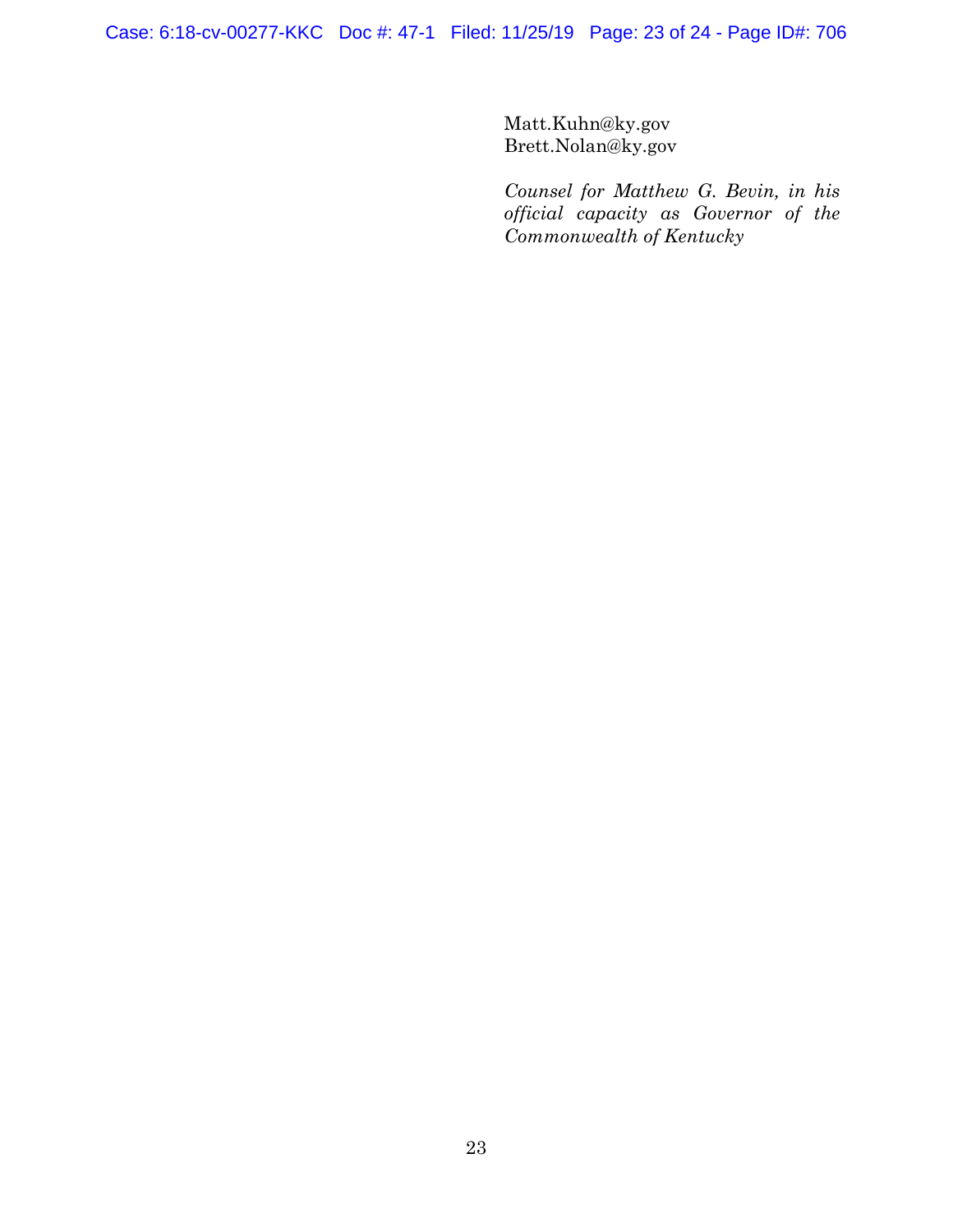Case: 6:18-cv-00277-KKC Doc #: 47-1 Filed: 11/25/19 Page: 23 of 24 - Page ID#: 706

Matt.Kuhn@ky.gov Brett.Nolan@ky.gov

*Counsel for Matthew G. Bevin, in his official capacity as Governor of the Commonwealth of Kentucky*